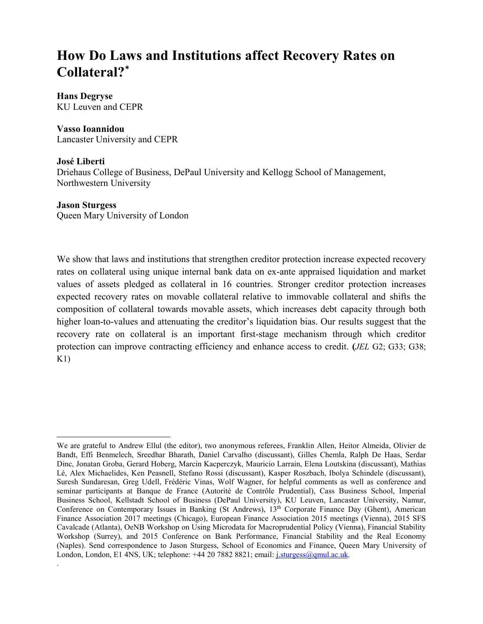# **How Do Laws and Institutions affect Recovery Rates on Collateral?[\\*](#page-0-0)**

# **Hans Degryse**

KU Leuven and CEPR

# **Vasso Ioannidou**

Lancaster University and CEPR

# **José Liberti**

Driehaus College of Business, DePaul University and Kellogg School of Management, Northwestern University

# **Jason Sturgess**

 $\overline{a}$ 

.

Queen Mary University of London

We show that laws and institutions that strengthen creditor protection increase expected recovery rates on collateral using unique internal bank data on ex-ante appraised liquidation and market values of assets pledged as collateral in 16 countries. Stronger creditor protection increases expected recovery rates on movable collateral relative to immovable collateral and shifts the composition of collateral towards movable assets, which increases debt capacity through both higher loan-to-values and attenuating the creditor's liquidation bias. Our results suggest that the recovery rate on collateral is an important first-stage mechanism through which creditor protection can improve contracting efficiency and enhance access to credit. **(***JEL* G2; G33; G38;  $K1)$ 

<span id="page-0-0"></span>We are grateful to Andrew Ellul (the editor), two anonymous referees, Franklin Allen, Heitor Almeida, Olivier de Bandt, Effi Benmelech, Sreedhar Bharath, Daniel Carvalho (discussant), Gilles Chemla, Ralph De Haas, Serdar Dinc, Jonatan Groba, Gerard Hoberg, Marcin Kacperczyk, Mauricio Larrain, Elena Loutskina (discussant), Mathias Lé, Alex Michaelides, Ken Peasnell, Stefano Rossi (discussant), Kasper Roszbach, Ibolya Schindele (discussant), Suresh Sundaresan, Greg Udell, Frédéric Vinas, Wolf Wagner, for helpful comments as well as conference and seminar participants at Banque de France (Autorité de Contrôle Prudential), Cass Business School, Imperial Business School, Kellstadt School of Business (DePaul University), KU Leuven, Lancaster University, Namur, Conference on Contemporary Issues in Banking (St Andrews), 13<sup>th</sup> Corporate Finance Day (Ghent), American Finance Association 2017 meetings (Chicago), European Finance Association 2015 meetings (Vienna), 2015 SFS Cavalcade (Atlanta), OeNB Workshop on Using Microdata for Macroprudential Policy (Vienna), Financial Stability Workshop (Surrey), and 2015 Conference on Bank Performance, Financial Stability and the Real Economy (Naples). Send correspondence to Jason Sturgess, School of Economics and Finance, Queen Mary University of London, London, E1 4NS, UK; telephone: +44 20 7882 8821; email: [j.sturgess@qmul.ac.uk.](mailto:j.sturgess@qmul.ac.uk)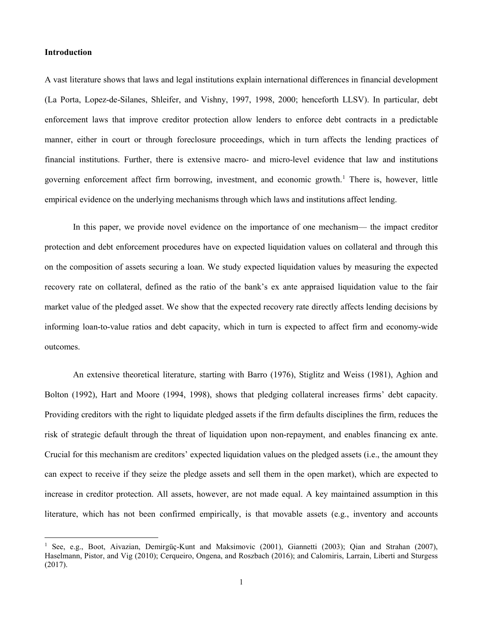## **Introduction**

l

A vast literature shows that laws and legal institutions explain international differences in financial development (La Porta, Lopez-de-Silanes, Shleifer, and Vishny, 1997, 1998, 2000; henceforth LLSV). In particular, debt enforcement laws that improve creditor protection allow lenders to enforce debt contracts in a predictable manner, either in court or through foreclosure proceedings, which in turn affects the lending practices of financial institutions. Further, there is extensive macro- and micro-level evidence that law and institutions governing enforcement affect firm borrowing, investment, and economic growth.<sup>[1](#page-1-0)</sup> There is, however, little empirical evidence on the underlying mechanisms through which laws and institutions affect lending.

In this paper, we provide novel evidence on the importance of one mechanism— the impact creditor protection and debt enforcement procedures have on expected liquidation values on collateral and through this on the composition of assets securing a loan. We study expected liquidation values by measuring the expected recovery rate on collateral, defined as the ratio of the bank's ex ante appraised liquidation value to the fair market value of the pledged asset. We show that the expected recovery rate directly affects lending decisions by informing loan-to-value ratios and debt capacity, which in turn is expected to affect firm and economy-wide outcomes.

An extensive theoretical literature, starting with Barro (1976), Stiglitz and Weiss (1981), Aghion and Bolton (1992), Hart and Moore (1994, 1998), shows that pledging collateral increases firms' debt capacity. Providing creditors with the right to liquidate pledged assets if the firm defaults disciplines the firm, reduces the risk of strategic default through the threat of liquidation upon non-repayment, and enables financing ex ante. Crucial for this mechanism are creditors' expected liquidation values on the pledged assets (i.e., the amount they can expect to receive if they seize the pledge assets and sell them in the open market), which are expected to increase in creditor protection. All assets, however, are not made equal. A key maintained assumption in this literature, which has not been confirmed empirically, is that movable assets (e.g., inventory and accounts

<span id="page-1-0"></span><sup>&</sup>lt;sup>1</sup> See, e.g., Boot, Aivazian, Demirgüç-Kunt and Maksimovic (2001), Giannetti (2003); Qian and Strahan (2007), Haselmann, Pistor, and Vig (2010); Cerqueiro, Ongena, and Roszbach (2016); and Calomiris, Larrain, Liberti and Sturgess (2017).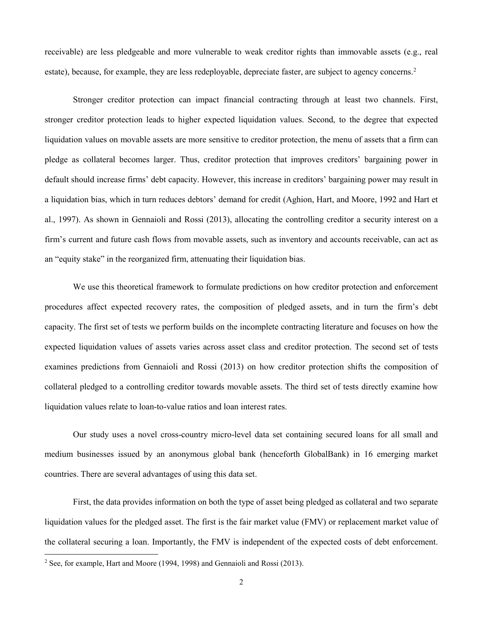receivable) are less pledgeable and more vulnerable to weak creditor rights than immovable assets (e.g., real estate), because, for example, they are less redeployable, depreciate faster, are subject to agency concerns.<sup>[2](#page-2-0)</sup>

Stronger creditor protection can impact financial contracting through at least two channels. First, stronger creditor protection leads to higher expected liquidation values. Second, to the degree that expected liquidation values on movable assets are more sensitive to creditor protection, the menu of assets that a firm can pledge as collateral becomes larger. Thus, creditor protection that improves creditors' bargaining power in default should increase firms' debt capacity. However, this increase in creditors' bargaining power may result in a liquidation bias, which in turn reduces debtors' demand for credit (Aghion, Hart, and Moore, 1992 and Hart et al., 1997). As shown in Gennaioli and Rossi (2013), allocating the controlling creditor a security interest on a firm's current and future cash flows from movable assets, such as inventory and accounts receivable, can act as an "equity stake" in the reorganized firm, attenuating their liquidation bias.

We use this theoretical framework to formulate predictions on how creditor protection and enforcement procedures affect expected recovery rates, the composition of pledged assets, and in turn the firm's debt capacity. The first set of tests we perform builds on the incomplete contracting literature and focuses on how the expected liquidation values of assets varies across asset class and creditor protection. The second set of tests examines predictions from Gennaioli and Rossi (2013) on how creditor protection shifts the composition of collateral pledged to a controlling creditor towards movable assets. The third set of tests directly examine how liquidation values relate to loan-to-value ratios and loan interest rates.

Our study uses a novel cross-country micro-level data set containing secured loans for all small and medium businesses issued by an anonymous global bank (henceforth GlobalBank) in 16 emerging market countries. There are several advantages of using this data set.

First, the data provides information on both the type of asset being pledged as collateral and two separate liquidation values for the pledged asset. The first is the fair market value (FMV) or replacement market value of the collateral securing a loan. Importantly, the FMV is independent of the expected costs of debt enforcement.

<span id="page-2-0"></span><sup>&</sup>lt;sup>2</sup> See, for example, Hart and Moore (1994, 1998) and Gennaioli and Rossi (2013).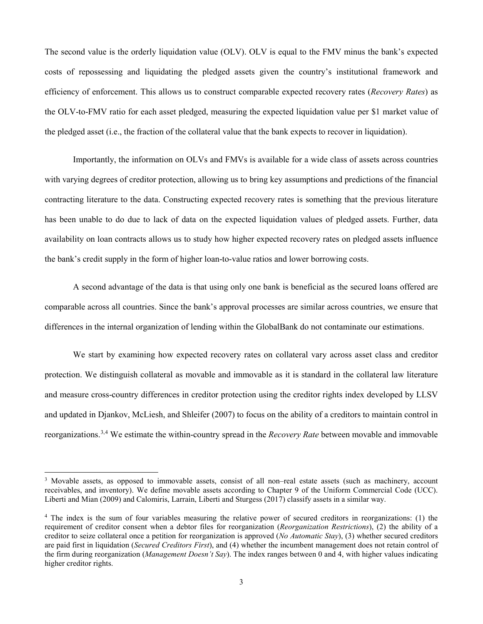The second value is the orderly liquidation value (OLV). OLV is equal to the FMV minus the bank's expected costs of repossessing and liquidating the pledged assets given the country's institutional framework and efficiency of enforcement. This allows us to construct comparable expected recovery rates (*Recovery Rates*) as the OLV-to-FMV ratio for each asset pledged, measuring the expected liquidation value per \$1 market value of the pledged asset (i.e., the fraction of the collateral value that the bank expects to recover in liquidation).

Importantly, the information on OLVs and FMVs is available for a wide class of assets across countries with varying degrees of creditor protection, allowing us to bring key assumptions and predictions of the financial contracting literature to the data. Constructing expected recovery rates is something that the previous literature has been unable to do due to lack of data on the expected liquidation values of pledged assets. Further, data availability on loan contracts allows us to study how higher expected recovery rates on pledged assets influence the bank's credit supply in the form of higher loan-to-value ratios and lower borrowing costs.

A second advantage of the data is that using only one bank is beneficial as the secured loans offered are comparable across all countries. Since the bank's approval processes are similar across countries, we ensure that differences in the internal organization of lending within the GlobalBank do not contaminate our estimations.

We start by examining how expected recovery rates on collateral vary across asset class and creditor protection. We distinguish collateral as movable and immovable as it is standard in the collateral law literature and measure cross-country differences in creditor protection using the creditor rights index developed by LLSV and updated in Djankov, McLiesh, and Shleifer (2007) to focus on the ability of a creditors to maintain control in reorganizations.[3](#page-3-0),[4](#page-3-1) We estimate the within-country spread in the *Recovery Rate* between movable and immovable

 $\overline{a}$ 

<span id="page-3-0"></span><sup>&</sup>lt;sup>3</sup> Movable assets, as opposed to immovable assets, consist of all non-real estate assets (such as machinery, account receivables, and inventory). We define movable assets according to Chapter 9 of the Uniform Commercial Code (UCC). Liberti and Mian (2009) and Calomiris, Larrain, Liberti and Sturgess (2017) classify assets in a similar way.

<span id="page-3-1"></span><sup>4</sup> The index is the sum of four variables measuring the relative power of secured creditors in reorganizations: (1) the requirement of creditor consent when a debtor files for reorganization (*Reorganization Restrictions*), (2) the ability of a creditor to seize collateral once a petition for reorganization is approved (*No Automatic Stay*), (3) whether secured creditors are paid first in liquidation (*Secured Creditors First*), and (4) whether the incumbent management does not retain control of the firm during reorganization (*Management Doesn't Say*). The index ranges between 0 and 4, with higher values indicating higher creditor rights.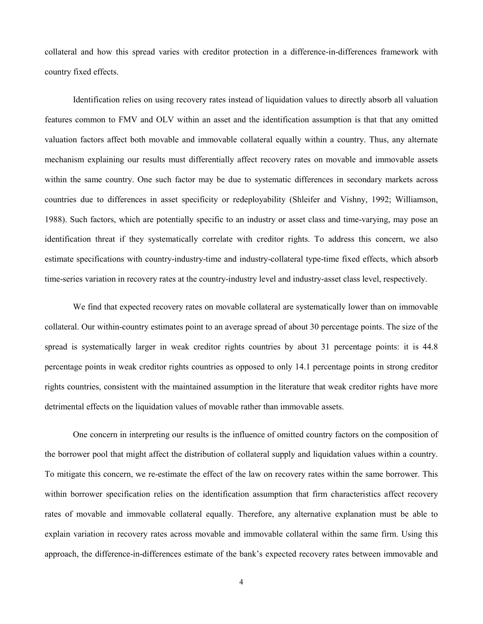collateral and how this spread varies with creditor protection in a difference-in-differences framework with country fixed effects.

Identification relies on using recovery rates instead of liquidation values to directly absorb all valuation features common to FMV and OLV within an asset and the identification assumption is that that any omitted valuation factors affect both movable and immovable collateral equally within a country. Thus, any alternate mechanism explaining our results must differentially affect recovery rates on movable and immovable assets within the same country. One such factor may be due to systematic differences in secondary markets across countries due to differences in asset specificity or redeployability (Shleifer and Vishny, 1992; Williamson, 1988). Such factors, which are potentially specific to an industry or asset class and time-varying, may pose an identification threat if they systematically correlate with creditor rights. To address this concern, we also estimate specifications with country-industry-time and industry-collateral type-time fixed effects, which absorb time-series variation in recovery rates at the country-industry level and industry-asset class level, respectively.

We find that expected recovery rates on movable collateral are systematically lower than on immovable collateral. Our within-country estimates point to an average spread of about 30 percentage points. The size of the spread is systematically larger in weak creditor rights countries by about 31 percentage points: it is 44.8 percentage points in weak creditor rights countries as opposed to only 14.1 percentage points in strong creditor rights countries, consistent with the maintained assumption in the literature that weak creditor rights have more detrimental effects on the liquidation values of movable rather than immovable assets.

One concern in interpreting our results is the influence of omitted country factors on the composition of the borrower pool that might affect the distribution of collateral supply and liquidation values within a country. To mitigate this concern, we re-estimate the effect of the law on recovery rates within the same borrower. This within borrower specification relies on the identification assumption that firm characteristics affect recovery rates of movable and immovable collateral equally. Therefore, any alternative explanation must be able to explain variation in recovery rates across movable and immovable collateral within the same firm. Using this approach, the difference-in-differences estimate of the bank's expected recovery rates between immovable and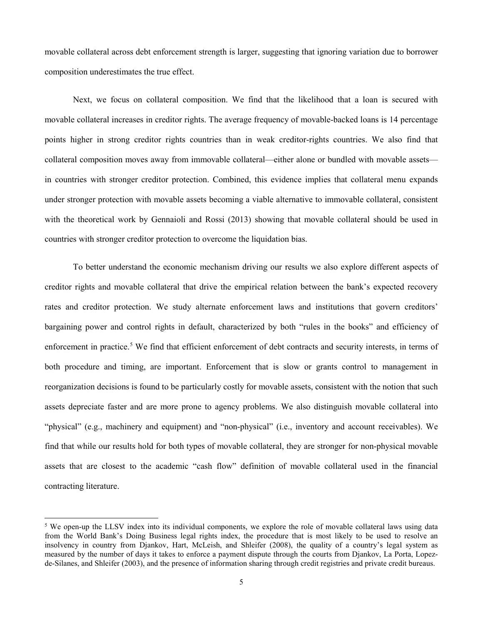movable collateral across debt enforcement strength is larger, suggesting that ignoring variation due to borrower composition underestimates the true effect.

Next, we focus on collateral composition. We find that the likelihood that a loan is secured with movable collateral increases in creditor rights. The average frequency of movable-backed loans is 14 percentage points higher in strong creditor rights countries than in weak creditor-rights countries. We also find that collateral composition moves away from immovable collateral—either alone or bundled with movable assets in countries with stronger creditor protection. Combined, this evidence implies that collateral menu expands under stronger protection with movable assets becoming a viable alternative to immovable collateral, consistent with the theoretical work by Gennaioli and Rossi (2013) showing that movable collateral should be used in countries with stronger creditor protection to overcome the liquidation bias.

To better understand the economic mechanism driving our results we also explore different aspects of creditor rights and movable collateral that drive the empirical relation between the bank's expected recovery rates and creditor protection. We study alternate enforcement laws and institutions that govern creditors' bargaining power and control rights in default, characterized by both "rules in the books" and efficiency of enforcement in practice.<sup>[5](#page-5-0)</sup> We find that efficient enforcement of debt contracts and security interests, in terms of both procedure and timing, are important. Enforcement that is slow or grants control to management in reorganization decisions is found to be particularly costly for movable assets, consistent with the notion that such assets depreciate faster and are more prone to agency problems. We also distinguish movable collateral into "physical" (e.g., machinery and equipment) and "non-physical" (i.e., inventory and account receivables). We find that while our results hold for both types of movable collateral, they are stronger for non-physical movable assets that are closest to the academic "cash flow" definition of movable collateral used in the financial contracting literature.

 $\overline{a}$ 

<span id="page-5-0"></span><sup>&</sup>lt;sup>5</sup> We open-up the LLSV index into its individual components, we explore the role of movable collateral laws using data from the World Bank's Doing Business legal rights index, the procedure that is most likely to be used to resolve an insolvency in country from Djankov, Hart, McLeish, and Shleifer (2008), the quality of a country's legal system as measured by the number of days it takes to enforce a payment dispute through the courts from Djankov, La Porta, Lopezde-Silanes, and Shleifer (2003), and the presence of information sharing through credit registries and private credit bureaus.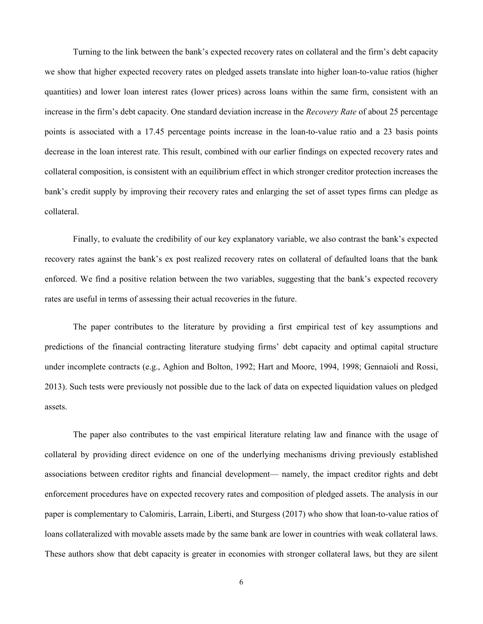Turning to the link between the bank's expected recovery rates on collateral and the firm's debt capacity we show that higher expected recovery rates on pledged assets translate into higher loan-to-value ratios (higher quantities) and lower loan interest rates (lower prices) across loans within the same firm, consistent with an increase in the firm's debt capacity. One standard deviation increase in the *Recovery Rate* of about 25 percentage points is associated with a 17.45 percentage points increase in the loan-to-value ratio and a 23 basis points decrease in the loan interest rate. This result, combined with our earlier findings on expected recovery rates and collateral composition, is consistent with an equilibrium effect in which stronger creditor protection increases the bank's credit supply by improving their recovery rates and enlarging the set of asset types firms can pledge as collateral.

Finally, to evaluate the credibility of our key explanatory variable, we also contrast the bank's expected recovery rates against the bank's ex post realized recovery rates on collateral of defaulted loans that the bank enforced. We find a positive relation between the two variables, suggesting that the bank's expected recovery rates are useful in terms of assessing their actual recoveries in the future.

The paper contributes to the literature by providing a first empirical test of key assumptions and predictions of the financial contracting literature studying firms' debt capacity and optimal capital structure under incomplete contracts (e.g., Aghion and Bolton, 1992; Hart and Moore, 1994, 1998; Gennaioli and Rossi, 2013). Such tests were previously not possible due to the lack of data on expected liquidation values on pledged assets.

The paper also contributes to the vast empirical literature relating law and finance with the usage of collateral by providing direct evidence on one of the underlying mechanisms driving previously established associations between creditor rights and financial development— namely, the impact creditor rights and debt enforcement procedures have on expected recovery rates and composition of pledged assets. The analysis in our paper is complementary to Calomiris, Larrain, Liberti, and Sturgess (2017) who show that loan-to-value ratios of loans collateralized with movable assets made by the same bank are lower in countries with weak collateral laws. These authors show that debt capacity is greater in economies with stronger collateral laws, but they are silent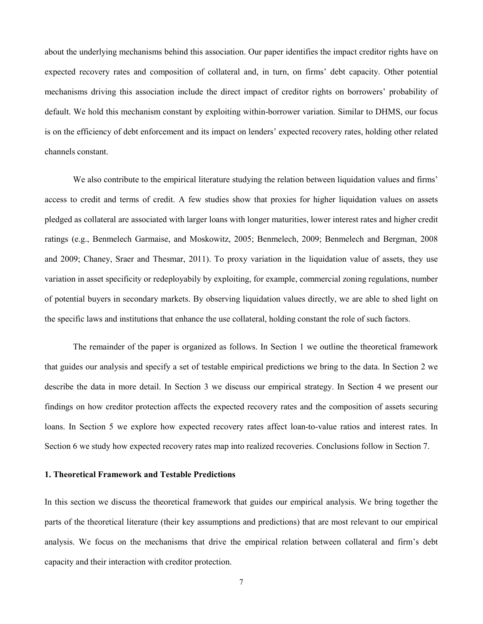about the underlying mechanisms behind this association. Our paper identifies the impact creditor rights have on expected recovery rates and composition of collateral and, in turn, on firms' debt capacity. Other potential mechanisms driving this association include the direct impact of creditor rights on borrowers' probability of default. We hold this mechanism constant by exploiting within-borrower variation. Similar to DHMS, our focus is on the efficiency of debt enforcement and its impact on lenders' expected recovery rates, holding other related channels constant.

We also contribute to the empirical literature studying the relation between liquidation values and firms' access to credit and terms of credit. A few studies show that proxies for higher liquidation values on assets pledged as collateral are associated with larger loans with longer maturities, lower interest rates and higher credit ratings (e.g., Benmelech Garmaise, and Moskowitz, 2005; Benmelech, 2009; Benmelech and Bergman, 2008 and 2009; Chaney, Sraer and Thesmar, 2011). To proxy variation in the liquidation value of assets, they use variation in asset specificity or redeployabily by exploiting, for example, commercial zoning regulations, number of potential buyers in secondary markets. By observing liquidation values directly, we are able to shed light on the specific laws and institutions that enhance the use collateral, holding constant the role of such factors.

The remainder of the paper is organized as follows. In Section 1 we outline the theoretical framework that guides our analysis and specify a set of testable empirical predictions we bring to the data. In Section 2 we describe the data in more detail. In Section 3 we discuss our empirical strategy. In Section 4 we present our findings on how creditor protection affects the expected recovery rates and the composition of assets securing loans. In Section 5 we explore how expected recovery rates affect loan-to-value ratios and interest rates. In Section 6 we study how expected recovery rates map into realized recoveries. Conclusions follow in Section 7.

## **1. Theoretical Framework and Testable Predictions**

In this section we discuss the theoretical framework that guides our empirical analysis. We bring together the parts of the theoretical literature (their key assumptions and predictions) that are most relevant to our empirical analysis. We focus on the mechanisms that drive the empirical relation between collateral and firm's debt capacity and their interaction with creditor protection.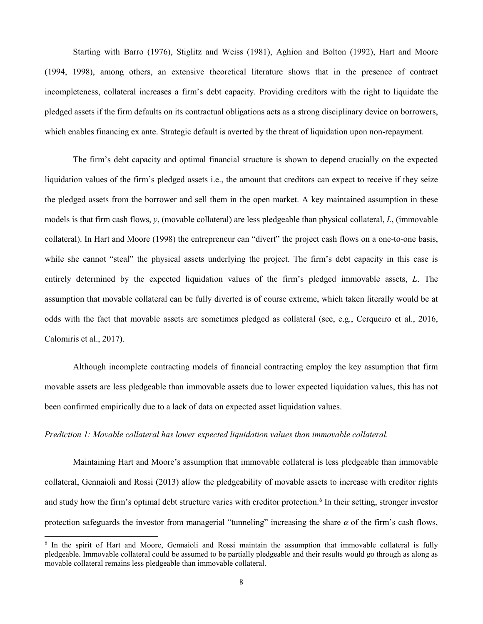Starting with Barro (1976), Stiglitz and Weiss (1981), Aghion and Bolton (1992), Hart and Moore (1994, 1998), among others, an extensive theoretical literature shows that in the presence of contract incompleteness, collateral increases a firm's debt capacity. Providing creditors with the right to liquidate the pledged assets if the firm defaults on its contractual obligations acts as a strong disciplinary device on borrowers, which enables financing ex ante. Strategic default is averted by the threat of liquidation upon non-repayment.

The firm's debt capacity and optimal financial structure is shown to depend crucially on the expected liquidation values of the firm's pledged assets i.e., the amount that creditors can expect to receive if they seize the pledged assets from the borrower and sell them in the open market. A key maintained assumption in these models is that firm cash flows, *y*, (movable collateral) are less pledgeable than physical collateral, *L*, (immovable collateral). In Hart and Moore (1998) the entrepreneur can "divert" the project cash flows on a one-to-one basis, while she cannot "steal" the physical assets underlying the project. The firm's debt capacity in this case is entirely determined by the expected liquidation values of the firm's pledged immovable assets, *L*. The assumption that movable collateral can be fully diverted is of course extreme, which taken literally would be at odds with the fact that movable assets are sometimes pledged as collateral (see, e.g., Cerqueiro et al., 2016, Calomiris et al., 2017).

Although incomplete contracting models of financial contracting employ the key assumption that firm movable assets are less pledgeable than immovable assets due to lower expected liquidation values, this has not been confirmed empirically due to a lack of data on expected asset liquidation values.

## *Prediction 1: Movable collateral has lower expected liquidation values than immovable collateral.*

 $\overline{a}$ 

Maintaining Hart and Moore's assumption that immovable collateral is less pledgeable than immovable collateral, Gennaioli and Rossi (2013) allow the pledgeability of movable assets to increase with creditor rights and study how the firm's optimal debt structure varies with creditor protection. [6](#page-8-0) In their setting, stronger investor protection safeguards the investor from managerial "tunneling" increasing the share  $\alpha$  of the firm's cash flows,

<span id="page-8-0"></span><sup>&</sup>lt;sup>6</sup> In the spirit of Hart and Moore, Gennaioli and Rossi maintain the assumption that immovable collateral is fully pledgeable. Immovable collateral could be assumed to be partially pledgeable and their results would go through as along as movable collateral remains less pledgeable than immovable collateral.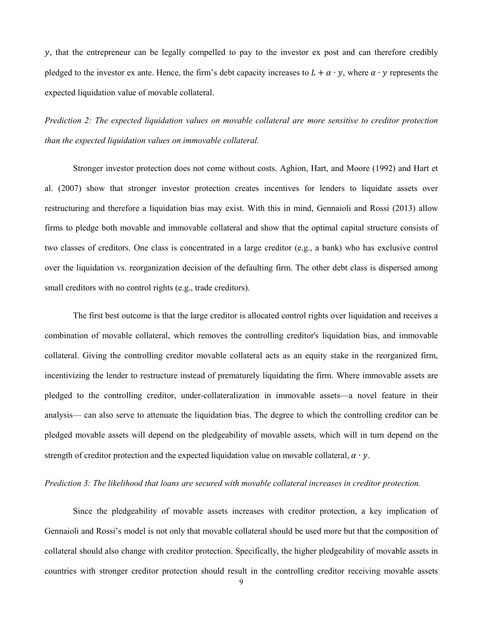, that the entrepreneur can be legally compelled to pay to the investor ex post and can therefore credibly pledged to the investor ex ante. Hence, the firm's debt capacity increases to  $L + \alpha \cdot y$ , where  $\alpha \cdot y$  represents the expected liquidation value of movable collateral.

*Prediction 2: The expected liquidation values on movable collateral are more sensitive to creditor protection than the expected liquidation values on immovable collateral.*

Stronger investor protection does not come without costs. Aghion, Hart, and Moore (1992) and Hart et al. (2007) show that stronger investor protection creates incentives for lenders to liquidate assets over restructuring and therefore a liquidation bias may exist. With this in mind, Gennaioli and Rossi (2013) allow firms to pledge both movable and immovable collateral and show that the optimal capital structure consists of two classes of creditors. One class is concentrated in a large creditor (e.g., a bank) who has exclusive control over the liquidation vs. reorganization decision of the defaulting firm. The other debt class is dispersed among small creditors with no control rights (e.g., trade creditors).

The first best outcome is that the large creditor is allocated control rights over liquidation and receives a combination of movable collateral, which removes the controlling creditor's liquidation bias, and immovable collateral. Giving the controlling creditor movable collateral acts as an equity stake in the reorganized firm, incentivizing the lender to restructure instead of prematurely liquidating the firm. Where immovable assets are pledged to the controlling creditor, under-collateralization in immovable assets—a novel feature in their analysis— can also serve to attenuate the liquidation bias. The degree to which the controlling creditor can be pledged movable assets will depend on the pledgeability of movable assets, which will in turn depend on the strength of creditor protection and the expected liquidation value on movable collateral,  $\alpha \cdot y$ .

#### *Prediction 3: The likelihood that loans are secured with movable collateral increases in creditor protection.*

Since the pledgeability of movable assets increases with creditor protection, a key implication of Gennaioli and Rossi's model is not only that movable collateral should be used more but that the composition of collateral should also change with creditor protection. Specifically, the higher pledgeability of movable assets in countries with stronger creditor protection should result in the controlling creditor receiving movable assets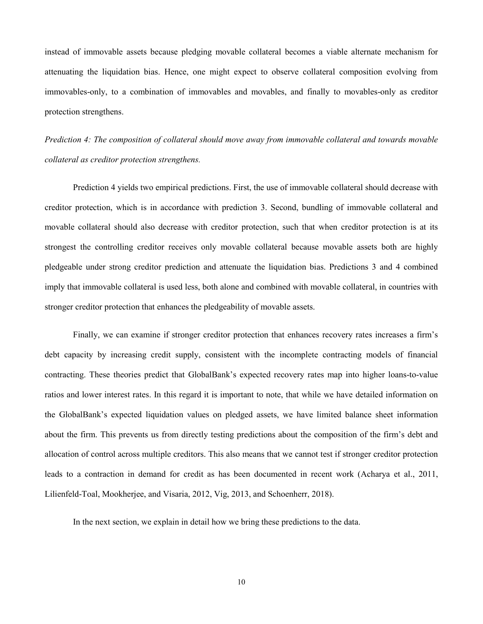instead of immovable assets because pledging movable collateral becomes a viable alternate mechanism for attenuating the liquidation bias. Hence, one might expect to observe collateral composition evolving from immovables-only, to a combination of immovables and movables, and finally to movables-only as creditor protection strengthens.

*Prediction 4: The composition of collateral should move away from immovable collateral and towards movable collateral as creditor protection strengthens.*

Prediction 4 yields two empirical predictions. First, the use of immovable collateral should decrease with creditor protection, which is in accordance with prediction 3. Second, bundling of immovable collateral and movable collateral should also decrease with creditor protection, such that when creditor protection is at its strongest the controlling creditor receives only movable collateral because movable assets both are highly pledgeable under strong creditor prediction and attenuate the liquidation bias. Predictions 3 and 4 combined imply that immovable collateral is used less, both alone and combined with movable collateral, in countries with stronger creditor protection that enhances the pledgeability of movable assets.

Finally, we can examine if stronger creditor protection that enhances recovery rates increases a firm's debt capacity by increasing credit supply, consistent with the incomplete contracting models of financial contracting. These theories predict that GlobalBank's expected recovery rates map into higher loans-to-value ratios and lower interest rates. In this regard it is important to note, that while we have detailed information on the GlobalBank's expected liquidation values on pledged assets, we have limited balance sheet information about the firm. This prevents us from directly testing predictions about the composition of the firm's debt and allocation of control across multiple creditors. This also means that we cannot test if stronger creditor protection leads to a contraction in demand for credit as has been documented in recent work (Acharya et al., 2011, Lilienfeld-Toal, Mookherjee, and Visaria, 2012, Vig, 2013, and Schoenherr, 2018).

In the next section, we explain in detail how we bring these predictions to the data.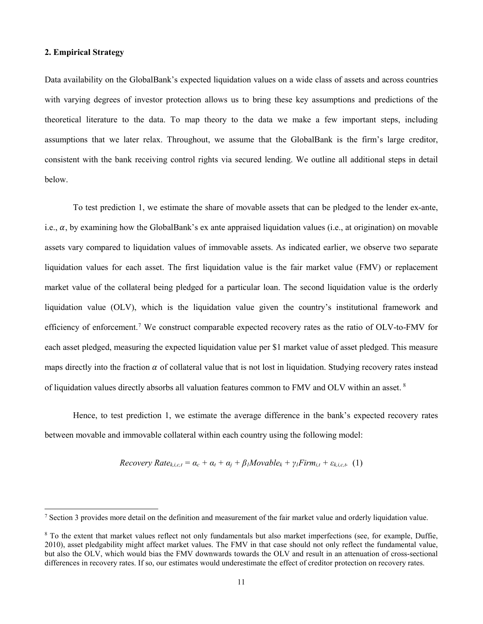## **2. Empirical Strategy**

 $\overline{\phantom{a}}$ 

Data availability on the GlobalBank's expected liquidation values on a wide class of assets and across countries with varying degrees of investor protection allows us to bring these key assumptions and predictions of the theoretical literature to the data. To map theory to the data we make a few important steps, including assumptions that we later relax. Throughout, we assume that the GlobalBank is the firm's large creditor, consistent with the bank receiving control rights via secured lending. We outline all additional steps in detail below.

To test prediction 1, we estimate the share of movable assets that can be pledged to the lender ex-ante, i.e.,  $\alpha$ , by examining how the GlobalBank's ex ante appraised liquidation values (i.e., at origination) on movable assets vary compared to liquidation values of immovable assets. As indicated earlier, we observe two separate liquidation values for each asset. The first liquidation value is the fair market value (FMV) or replacement market value of the collateral being pledged for a particular loan. The second liquidation value is the orderly liquidation value (OLV), which is the liquidation value given the country's institutional framework and efficiency of enforcement.<sup>[7](#page-11-0)</sup> We construct comparable expected recovery rates as the ratio of OLV-to-FMV for each asset pledged, measuring the expected liquidation value per \$1 market value of asset pledged. This measure maps directly into the fraction  $\alpha$  of collateral value that is not lost in liquidation. Studying recovery rates instead of liquidation values directly absorbs all valuation features common to FMV and OLV within an asset.<sup>[8](#page-11-1)</sup>

Hence, to test prediction 1, we estimate the average difference in the bank's expected recovery rates between movable and immovable collateral within each country using the following model:

$$
Recovery Rate_{k,i,c,t} = \alpha_c + \alpha_t + \alpha_j + \beta_l Movable_k + \gamma_l Firm_{i,t} + \varepsilon_{k,i,c,t} \quad (1)
$$

<span id="page-11-0"></span> $<sup>7</sup>$  Section 3 provides more detail on the definition and measurement of the fair market value and orderly liquidation value.</sup>

<span id="page-11-1"></span><sup>8</sup> To the extent that market values reflect not only fundamentals but also market imperfections (see, for example, Duffie, 2010), asset pledgability might affect market values. The FMV in that case should not only reflect the fundamental value, but also the OLV, which would bias the FMV downwards towards the OLV and result in an attenuation of cross-sectional differences in recovery rates. If so, our estimates would underestimate the effect of creditor protection on recovery rates.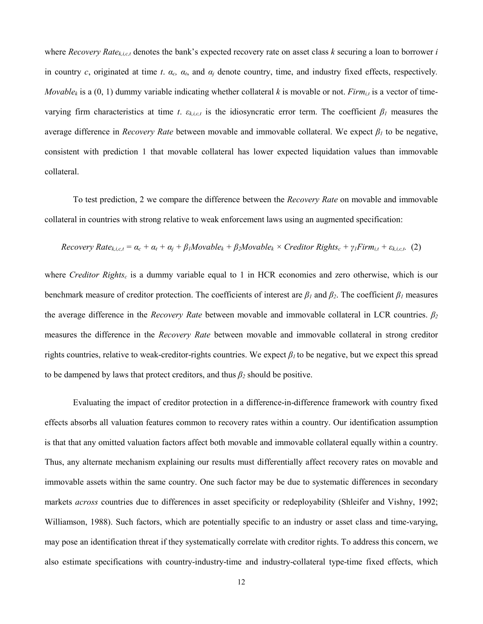where *Recovery Ratek,i,c,t* denotes the bank's expected recovery rate on asset class *k* securing a loan to borrower *i* in country *c*, originated at time *t*. *αc, αt*, and *α<sup>j</sup>* denote country, time, and industry fixed effects, respectively*. Movable<sub>k</sub>* is a (0, 1) dummy variable indicating whether collateral *k* is movable or not. *Firm<sub>i,t</sub>* is a vector of timevarying firm characteristics at time *t*.  $\varepsilon_{k,i,c,t}$  is the idiosyncratic error term. The coefficient  $\beta_l$  measures the average difference in *Recovery Rate* between movable and immovable collateral. We expect *β<sup>1</sup>* to be negative, consistent with prediction 1 that movable collateral has lower expected liquidation values than immovable collateral.

To test prediction, 2 we compare the difference between the *Recovery Rate* on movable and immovable collateral in countries with strong relative to weak enforcement laws using an augmented specification:

*Recovery Rate*<sub>*k*,*i*,*c*,*t*</sub> = 
$$
\alpha_c + \alpha_t + \alpha_j + \beta_l Movable_k + \beta_2 Movable_k \times Creditor Rights_c + \gamma_l Firm_{i,t} + \varepsilon_{k,i,c,t}
$$
. (2)

where *Creditor Rights<sub>c</sub>* is a dummy variable equal to 1 in HCR economies and zero otherwise, which is our benchmark measure of creditor protection. The coefficients of interest are *β<sup>1</sup>* and *β2*. The coefficient *β<sup>1</sup>* measures the average difference in the *Recovery Rate* between movable and immovable collateral in LCR countries. *β<sup>2</sup>* measures the difference in the *Recovery Rate* between movable and immovable collateral in strong creditor rights countries, relative to weak-creditor-rights countries. We expect *β1* to be negative, but we expect this spread to be dampened by laws that protect creditors, and thus *β<sup>2</sup>* should be positive.

Evaluating the impact of creditor protection in a difference-in-difference framework with country fixed effects absorbs all valuation features common to recovery rates within a country. Our identification assumption is that that any omitted valuation factors affect both movable and immovable collateral equally within a country. Thus, any alternate mechanism explaining our results must differentially affect recovery rates on movable and immovable assets within the same country. One such factor may be due to systematic differences in secondary markets *across* countries due to differences in asset specificity or redeployability (Shleifer and Vishny, 1992; Williamson, 1988). Such factors, which are potentially specific to an industry or asset class and time-varying, may pose an identification threat if they systematically correlate with creditor rights. To address this concern, we also estimate specifications with country-industry-time and industry-collateral type-time fixed effects, which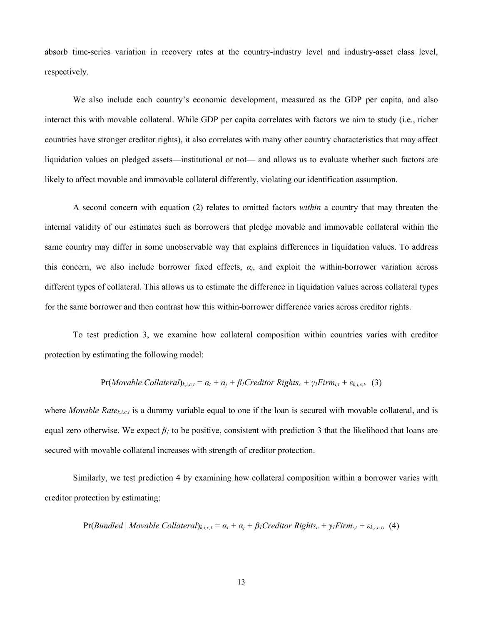absorb time-series variation in recovery rates at the country-industry level and industry-asset class level, respectively.

We also include each country's economic development, measured as the GDP per capita, and also interact this with movable collateral. While GDP per capita correlates with factors we aim to study (i.e., richer countries have stronger creditor rights), it also correlates with many other country characteristics that may affect liquidation values on pledged assets—institutional or not— and allows us to evaluate whether such factors are likely to affect movable and immovable collateral differently, violating our identification assumption.

A second concern with equation (2) relates to omitted factors *within* a country that may threaten the internal validity of our estimates such as borrowers that pledge movable and immovable collateral within the same country may differ in some unobservable way that explains differences in liquidation values. To address this concern, we also include borrower fixed effects,  $\alpha_i$ , and exploit the within-borrower variation across different types of collateral. This allows us to estimate the difference in liquidation values across collateral types for the same borrower and then contrast how this within-borrower difference varies across creditor rights.

To test prediction 3, we examine how collateral composition within countries varies with creditor protection by estimating the following model:

$$
Pr(Movable Collateral)_{k,i,c,t} = \alpha_t + \alpha_j + \beta_l Creditor Rights_c + \gamma_l Firm_{i,t} + \varepsilon_{k,i,c,t} \quad (3)
$$

where *Movable Rate<sub>k,i,c,t</sub>* is a dummy variable equal to one if the loan is secured with movable collateral, and is equal zero otherwise. We expect  $\beta_l$  to be positive, consistent with prediction 3 that the likelihood that loans are secured with movable collateral increases with strength of creditor protection.

Similarly, we test prediction 4 by examining how collateral composition within a borrower varies with creditor protection by estimating:

$$
Pr(Bundled | \textit{Movable Collateral})_{k,i,c,t} = \alpha_t + \alpha_j + \beta_l Creditor Rights_c + \gamma_l Firm_{i,t} + \varepsilon_{k,i,c,t}
$$
 (4)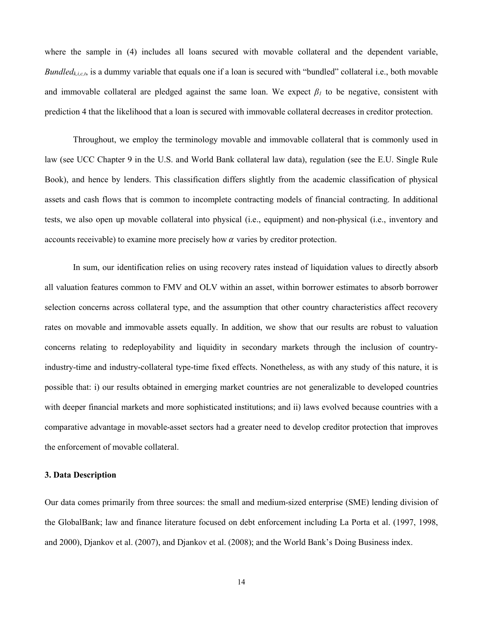where the sample in (4) includes all loans secured with movable collateral and the dependent variable, *Bundled<sub>k,i,c,t</sub>*, is a dummy variable that equals one if a loan is secured with "bundled" collateral i.e., both movable and immovable collateral are pledged against the same loan. We expect *β<sup>1</sup>* to be negative, consistent with prediction 4 that the likelihood that a loan is secured with immovable collateral decreases in creditor protection.

Throughout, we employ the terminology movable and immovable collateral that is commonly used in law (see UCC Chapter 9 in the U.S. and World Bank collateral law data), regulation (see the E.U. Single Rule Book), and hence by lenders. This classification differs slightly from the academic classification of physical assets and cash flows that is common to incomplete contracting models of financial contracting. In additional tests, we also open up movable collateral into physical (i.e., equipment) and non-physical (i.e., inventory and accounts receivable) to examine more precisely how  $\alpha$  varies by creditor protection.

In sum, our identification relies on using recovery rates instead of liquidation values to directly absorb all valuation features common to FMV and OLV within an asset, within borrower estimates to absorb borrower selection concerns across collateral type, and the assumption that other country characteristics affect recovery rates on movable and immovable assets equally. In addition, we show that our results are robust to valuation concerns relating to redeployability and liquidity in secondary markets through the inclusion of countryindustry-time and industry-collateral type-time fixed effects. Nonetheless, as with any study of this nature, it is possible that: i) our results obtained in emerging market countries are not generalizable to developed countries with deeper financial markets and more sophisticated institutions; and ii) laws evolved because countries with a comparative advantage in movable-asset sectors had a greater need to develop creditor protection that improves the enforcement of movable collateral.

## **3. Data Description**

Our data comes primarily from three sources: the small and medium-sized enterprise (SME) lending division of the GlobalBank; law and finance literature focused on debt enforcement including La Porta et al. (1997, 1998, and 2000), Djankov et al. (2007), and Djankov et al. (2008); and the World Bank's Doing Business index.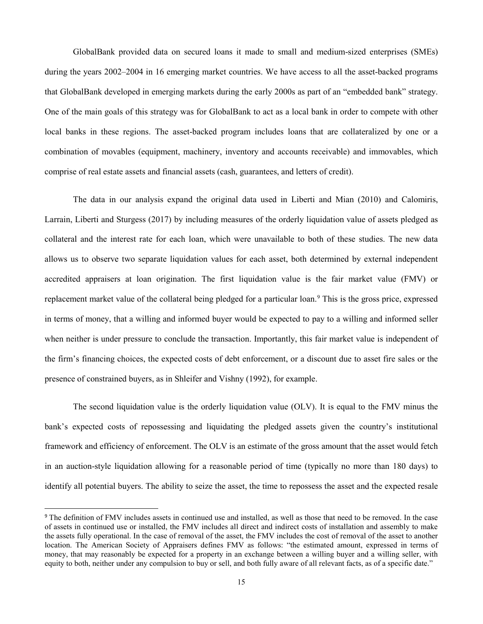GlobalBank provided data on secured loans it made to small and medium-sized enterprises (SMEs) during the years 2002–2004 in 16 emerging market countries. We have access to all the asset-backed programs that GlobalBank developed in emerging markets during the early 2000s as part of an "embedded bank" strategy. One of the main goals of this strategy was for GlobalBank to act as a local bank in order to compete with other local banks in these regions. The asset-backed program includes loans that are collateralized by one or a combination of movables (equipment, machinery, inventory and accounts receivable) and immovables, which comprise of real estate assets and financial assets (cash, guarantees, and letters of credit).

The data in our analysis expand the original data used in Liberti and Mian (2010) and Calomiris, Larrain, Liberti and Sturgess (2017) by including measures of the orderly liquidation value of assets pledged as collateral and the interest rate for each loan, which were unavailable to both of these studies. The new data allows us to observe two separate liquidation values for each asset, both determined by external independent accredited appraisers at loan origination. The first liquidation value is the fair market value (FMV) or replacement market value of the collateral being pledged for a particular loan.<sup>[9](#page-15-0)</sup> This is the gross price, expressed in terms of money, that a willing and informed buyer would be expected to pay to a willing and informed seller when neither is under pressure to conclude the transaction. Importantly, this fair market value is independent of the firm's financing choices, the expected costs of debt enforcement, or a discount due to asset fire sales or the presence of constrained buyers, as in Shleifer and Vishny (1992), for example.

The second liquidation value is the orderly liquidation value (OLV). It is equal to the FMV minus the bank's expected costs of repossessing and liquidating the pledged assets given the country's institutional framework and efficiency of enforcement. The OLV is an estimate of the gross amount that the asset would fetch in an auction-style liquidation allowing for a reasonable period of time (typically no more than 180 days) to identify all potential buyers. The ability to seize the asset, the time to repossess the asset and the expected resale

<span id="page-15-0"></span><sup>&</sup>lt;sup>9</sup> The definition of FMV includes assets in continued use and installed, as well as those that need to be removed. In the case of assets in continued use or installed, the FMV includes all direct and indirect costs of installation and assembly to make the assets fully operational. In the case of removal of the asset, the FMV includes the cost of removal of the asset to another location. The American Society of Appraisers defines FMV as follows: "the estimated amount, expressed in terms of money, that may reasonably be expected for a property in an exchange between a willing buyer and a willing seller, with equity to both, neither under any compulsion to buy or sell, and both fully aware of all relevant facts, as of a specific date."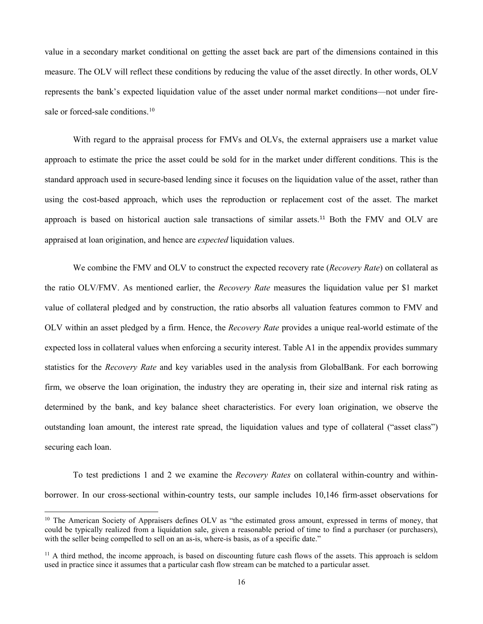value in a secondary market conditional on getting the asset back are part of the dimensions contained in this measure. The OLV will reflect these conditions by reducing the value of the asset directly. In other words, OLV represents the bank's expected liquidation value of the asset under normal market conditions—not under fire-sale or forced-sale conditions.<sup>[10](#page-16-0)</sup>

With regard to the appraisal process for FMVs and OLVs, the external appraisers use a market value approach to estimate the price the asset could be sold for in the market under different conditions. This is the standard approach used in secure-based lending since it focuses on the liquidation value of the asset, rather than using the cost-based approach, which uses the reproduction or replacement cost of the asset. The market approach is based on historical auction sale transactions of similar assets.[11](#page-16-1) Both the FMV and OLV are appraised at loan origination, and hence are *expected* liquidation values.

We combine the FMV and OLV to construct the expected recovery rate (*Recovery Rate*) on collateral as the ratio OLV/FMV. As mentioned earlier, the *Recovery Rate* measures the liquidation value per \$1 market value of collateral pledged and by construction, the ratio absorbs all valuation features common to FMV and OLV within an asset pledged by a firm. Hence, the *Recovery Rate* provides a unique real-world estimate of the expected loss in collateral values when enforcing a security interest. Table A1 in the appendix provides summary statistics for the *Recovery Rate* and key variables used in the analysis from GlobalBank. For each borrowing firm, we observe the loan origination, the industry they are operating in, their size and internal risk rating as determined by the bank, and key balance sheet characteristics. For every loan origination, we observe the outstanding loan amount, the interest rate spread, the liquidation values and type of collateral ("asset class") securing each loan.

To test predictions 1 and 2 we examine the *Recovery Rates* on collateral within-country and withinborrower. In our cross-sectional within-country tests, our sample includes 10,146 firm-asset observations for

<span id="page-16-0"></span><sup>&</sup>lt;sup>10</sup> The American Society of Appraisers defines OLV as "the estimated gross amount, expressed in terms of money, that could be typically realized from a liquidation sale, given a reasonable period of time to find a purchaser (or purchasers), with the seller being compelled to sell on an as-is, where-is basis, as of a specific date."

<span id="page-16-1"></span> $11$  A third method, the income approach, is based on discounting future cash flows of the assets. This approach is seldom used in practice since it assumes that a particular cash flow stream can be matched to a particular asset.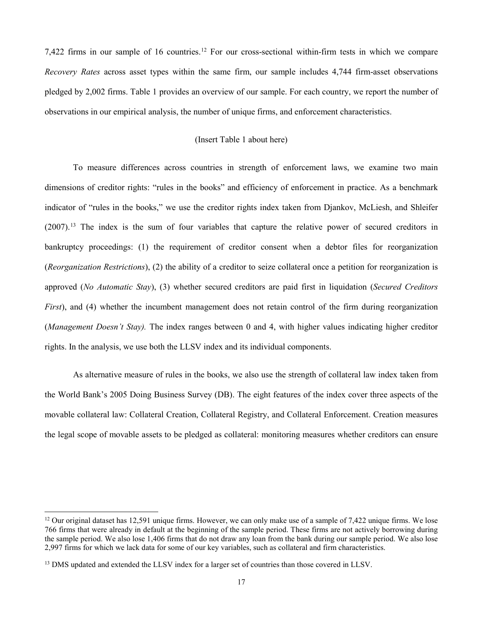7,422 firms in our sample of 16 countries.<sup>[12](#page-17-0)</sup> For our cross-sectional within-firm tests in which we compare *Recovery Rates* across asset types within the same firm, our sample includes 4,744 firm-asset observations pledged by 2,002 firms. Table 1 provides an overview of our sample. For each country, we report the number of observations in our empirical analysis, the number of unique firms, and enforcement characteristics.

## (Insert Table 1 about here)

To measure differences across countries in strength of enforcement laws, we examine two main dimensions of creditor rights: "rules in the books" and efficiency of enforcement in practice. As a benchmark indicator of "rules in the books," we use the creditor rights index taken from Djankov, McLiesh, and Shleifer (2007).[13](#page-17-1) The index is the sum of four variables that capture the relative power of secured creditors in bankruptcy proceedings: (1) the requirement of creditor consent when a debtor files for reorganization (*Reorganization Restrictions*), (2) the ability of a creditor to seize collateral once a petition for reorganization is approved (*No Automatic Stay*), (3) whether secured creditors are paid first in liquidation (*Secured Creditors First*), and (4) whether the incumbent management does not retain control of the firm during reorganization (*Management Doesn't Stay).* The index ranges between 0 and 4, with higher values indicating higher creditor rights. In the analysis, we use both the LLSV index and its individual components.

As alternative measure of rules in the books, we also use the strength of collateral law index taken from the World Bank's 2005 Doing Business Survey (DB). The eight features of the index cover three aspects of the movable collateral law: Collateral Creation, Collateral Registry, and Collateral Enforcement. Creation measures the legal scope of movable assets to be pledged as collateral: monitoring measures whether creditors can ensure

<span id="page-17-0"></span> $12$  Our original dataset has 12,591 unique firms. However, we can only make use of a sample of 7,422 unique firms. We lose 766 firms that were already in default at the beginning of the sample period. These firms are not actively borrowing during the sample period. We also lose 1,406 firms that do not draw any loan from the bank during our sample period. We also lose 2,997 firms for which we lack data for some of our key variables, such as collateral and firm characteristics.

<span id="page-17-1"></span><sup>&</sup>lt;sup>13</sup> DMS updated and extended the LLSV index for a larger set of countries than those covered in LLSV.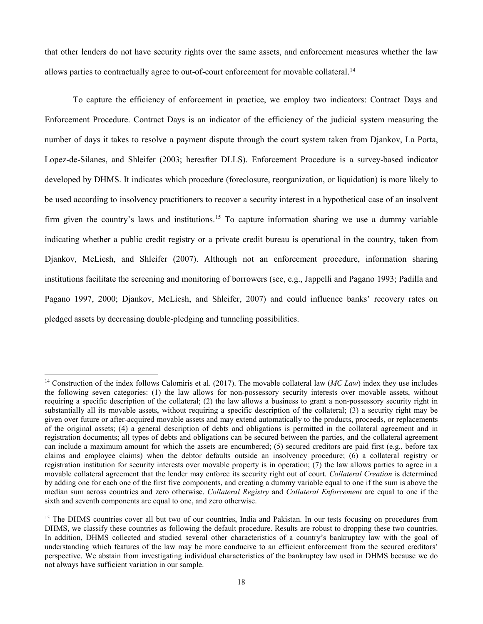that other lenders do not have security rights over the same assets, and enforcement measures whether the law allows parties to contractually agree to out-of-court enforcement for movable collateral.<sup>[14](#page-18-0)</sup>

To capture the efficiency of enforcement in practice, we employ two indicators: Contract Days and Enforcement Procedure. Contract Days is an indicator of the efficiency of the judicial system measuring the number of days it takes to resolve a payment dispute through the court system taken from Djankov, La Porta, Lopez-de-Silanes, and Shleifer (2003; hereafter DLLS). Enforcement Procedure is a survey-based indicator developed by DHMS. It indicates which procedure (foreclosure, reorganization, or liquidation) is more likely to be used according to insolvency practitioners to recover a security interest in a hypothetical case of an insolvent firm given the country's laws and institutions.<sup>[15](#page-18-1)</sup> To capture information sharing we use a dummy variable indicating whether a public credit registry or a private credit bureau is operational in the country, taken from Djankov, McLiesh, and Shleifer (2007). Although not an enforcement procedure, information sharing institutions facilitate the screening and monitoring of borrowers (see, e.g., Jappelli and Pagano 1993; Padilla and Pagano 1997, 2000; Djankov, McLiesh, and Shleifer, 2007) and could influence banks' recovery rates on pledged assets by decreasing double-pledging and tunneling possibilities.

<span id="page-18-0"></span><sup>&</sup>lt;sup>14</sup> Construction of the index follows Calomiris et al. (2017). The movable collateral law (*MC Law*) index they use includes the following seven categories: (1) the law allows for non-possessory security interests over movable assets, without requiring a specific description of the collateral; (2) the law allows a business to grant a non-possessory security right in substantially all its movable assets, without requiring a specific description of the collateral; (3) a security right may be given over future or after-acquired movable assets and may extend automatically to the products, proceeds, or replacements of the original assets; (4) a general description of debts and obligations is permitted in the collateral agreement and in registration documents; all types of debts and obligations can be secured between the parties, and the collateral agreement can include a maximum amount for which the assets are encumbered; (5) secured creditors are paid first (e.g., before tax claims and employee claims) when the debtor defaults outside an insolvency procedure; (6) a collateral registry or registration institution for security interests over movable property is in operation; (7) the law allows parties to agree in a movable collateral agreement that the lender may enforce its security right out of court. *Collateral Creation* is determined by adding one for each one of the first five components, and creating a dummy variable equal to one if the sum is above the median sum across countries and zero otherwise. *Collateral Registry* and *Collateral Enforcement* are equal to one if the sixth and seventh components are equal to one, and zero otherwise.

<span id="page-18-1"></span><sup>&</sup>lt;sup>15</sup> The DHMS countries cover all but two of our countries, India and Pakistan. In our tests focusing on procedures from DHMS, we classify these countries as following the default procedure. Results are robust to dropping these two countries. In addition, DHMS collected and studied several other characteristics of a country's bankruptcy law with the goal of understanding which features of the law may be more conducive to an efficient enforcement from the secured creditors' perspective. We abstain from investigating individual characteristics of the bankruptcy law used in DHMS because we do not always have sufficient variation in our sample.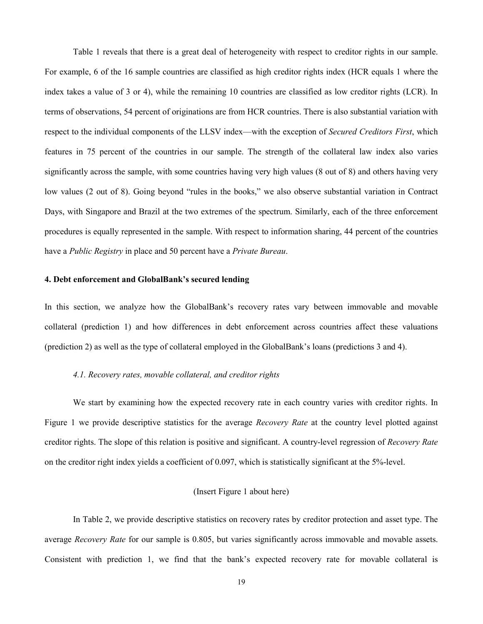Table 1 reveals that there is a great deal of heterogeneity with respect to creditor rights in our sample. For example, 6 of the 16 sample countries are classified as high creditor rights index (HCR equals 1 where the index takes a value of 3 or 4), while the remaining 10 countries are classified as low creditor rights (LCR). In terms of observations, 54 percent of originations are from HCR countries. There is also substantial variation with respect to the individual components of the LLSV index—with the exception of *Secured Creditors First*, which features in 75 percent of the countries in our sample. The strength of the collateral law index also varies significantly across the sample, with some countries having very high values (8 out of 8) and others having very low values (2 out of 8). Going beyond "rules in the books," we also observe substantial variation in Contract Days, with Singapore and Brazil at the two extremes of the spectrum. Similarly, each of the three enforcement procedures is equally represented in the sample. With respect to information sharing, 44 percent of the countries have a *Public Registry* in place and 50 percent have a *Private Bureau*.

#### **4. Debt enforcement and GlobalBank's secured lending**

In this section, we analyze how the GlobalBank's recovery rates vary between immovable and movable collateral (prediction 1) and how differences in debt enforcement across countries affect these valuations (prediction 2) as well as the type of collateral employed in the GlobalBank's loans (predictions 3 and 4).

#### *4.1. Recovery rates, movable collateral, and creditor rights*

We start by examining how the expected recovery rate in each country varies with creditor rights. In Figure 1 we provide descriptive statistics for the average *Recovery Rate* at the country level plotted against creditor rights. The slope of this relation is positive and significant. A country-level regression of *Recovery Rate* on the creditor right index yields a coefficient of 0.097, which is statistically significant at the 5%-level.

# (Insert Figure 1 about here)

In Table 2, we provide descriptive statistics on recovery rates by creditor protection and asset type. The average *Recovery Rate* for our sample is 0.805, but varies significantly across immovable and movable assets. Consistent with prediction 1, we find that the bank's expected recovery rate for movable collateral is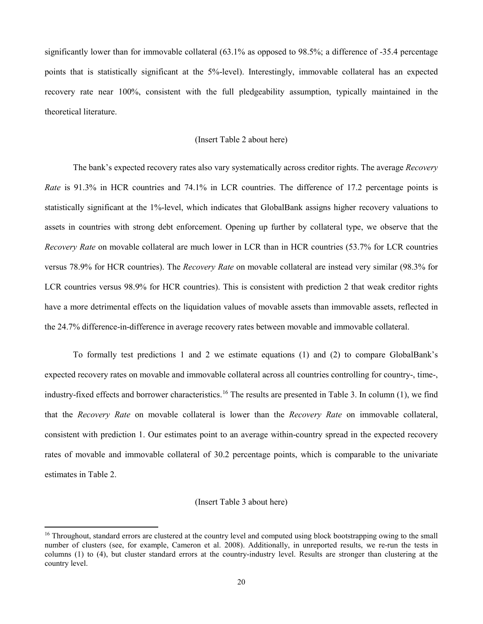significantly lower than for immovable collateral (63.1% as opposed to 98.5%; a difference of -35.4 percentage points that is statistically significant at the 5%-level). Interestingly, immovable collateral has an expected recovery rate near 100%, consistent with the full pledgeability assumption, typically maintained in the theoretical literature.

## (Insert Table 2 about here)

The bank's expected recovery rates also vary systematically across creditor rights. The average *Recovery Rate* is 91.3% in HCR countries and 74.1% in LCR countries. The difference of 17.2 percentage points is statistically significant at the 1%-level, which indicates that GlobalBank assigns higher recovery valuations to assets in countries with strong debt enforcement. Opening up further by collateral type, we observe that the *Recovery Rate* on movable collateral are much lower in LCR than in HCR countries (53.7% for LCR countries versus 78.9% for HCR countries). The *Recovery Rate* on movable collateral are instead very similar (98.3% for LCR countries versus 98.9% for HCR countries). This is consistent with prediction 2 that weak creditor rights have a more detrimental effects on the liquidation values of movable assets than immovable assets, reflected in the 24.7% difference-in-difference in average recovery rates between movable and immovable collateral.

To formally test predictions 1 and 2 we estimate equations (1) and (2) to compare GlobalBank's expected recovery rates on movable and immovable collateral across all countries controlling for country-, time-, industry-fixed effects and borrower characteristics.<sup>[16](#page-20-0)</sup> The results are presented in Table 3. In column (1), we find that the *Recovery Rate* on movable collateral is lower than the *Recovery Rate* on immovable collateral, consistent with prediction 1. Our estimates point to an average within-country spread in the expected recovery rates of movable and immovable collateral of 30.2 percentage points, which is comparable to the univariate estimates in Table 2.

## (Insert Table 3 about here)

<span id="page-20-0"></span><sup>&</sup>lt;sup>16</sup> Throughout, standard errors are clustered at the country level and computed using block bootstrapping owing to the small number of clusters (see, for example, Cameron et al. 2008). Additionally, in unreported results, we re-run the tests in columns (1) to (4), but cluster standard errors at the country-industry level. Results are stronger than clustering at the country level.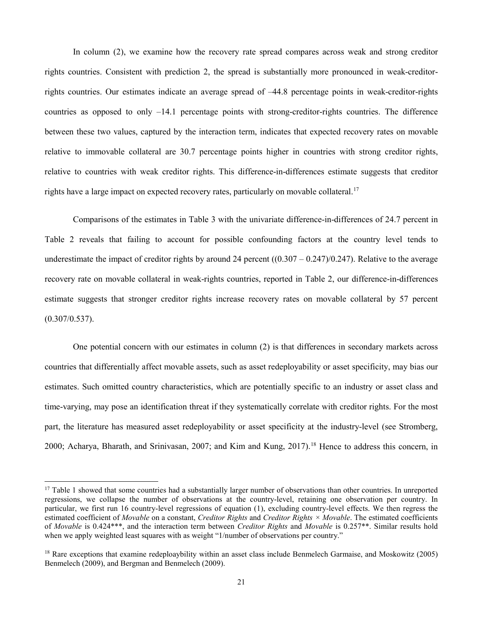In column (2), we examine how the recovery rate spread compares across weak and strong creditor rights countries. Consistent with prediction 2, the spread is substantially more pronounced in weak-creditorrights countries. Our estimates indicate an average spread of –44.8 percentage points in weak-creditor-rights countries as opposed to only –14.1 percentage points with strong-creditor-rights countries. The difference between these two values, captured by the interaction term, indicates that expected recovery rates on movable relative to immovable collateral are 30.7 percentage points higher in countries with strong creditor rights, relative to countries with weak creditor rights. This difference-in-differences estimate suggests that creditor rights have a large impact on expected recovery rates, particularly on movable collateral.<sup>[17](#page-21-0)</sup>

Comparisons of the estimates in Table 3 with the univariate difference-in-differences of 24.7 percent in Table 2 reveals that failing to account for possible confounding factors at the country level tends to underestimate the impact of creditor rights by around 24 percent  $((0.307 - 0.247)/0.247)$ . Relative to the average recovery rate on movable collateral in weak-rights countries, reported in Table 2, our difference-in-differences estimate suggests that stronger creditor rights increase recovery rates on movable collateral by 57 percent (0.307/0.537).

One potential concern with our estimates in column (2) is that differences in secondary markets across countries that differentially affect movable assets, such as asset redeployability or asset specificity, may bias our estimates. Such omitted country characteristics, which are potentially specific to an industry or asset class and time-varying, may pose an identification threat if they systematically correlate with creditor rights. For the most part, the literature has measured asset redeployability or asset specificity at the industry-level (see Stromberg, 2000; Acharya, Bharath, and Srinivasan, 2007; and Kim and Kung, 2017).<sup>[18](#page-21-1)</sup> Hence to address this concern, in

 $\overline{\phantom{a}}$ 

<span id="page-21-0"></span><sup>&</sup>lt;sup>17</sup> Table 1 showed that some countries had a substantially larger number of observations than other countries. In unreported regressions, we collapse the number of observations at the country-level, retaining one observation per country. In particular, we first run 16 country-level regressions of equation (1), excluding country-level effects. We then regress the estimated coefficient of *Movable* on a constant, *Creditor Rights* and *Creditor Rights × Movable*. The estimated coefficients of *Movable* is 0.424\*\*\*, and the interaction term between *Creditor Rights* and *Movable* is 0.257\*\*. Similar results hold when we apply weighted least squares with as weight "1/number of observations per country."

<span id="page-21-1"></span><sup>&</sup>lt;sup>18</sup> Rare exceptions that examine redeploaybility within an asset class include Benmelech Garmaise, and Moskowitz (2005) Benmelech (2009), and Bergman and Benmelech (2009).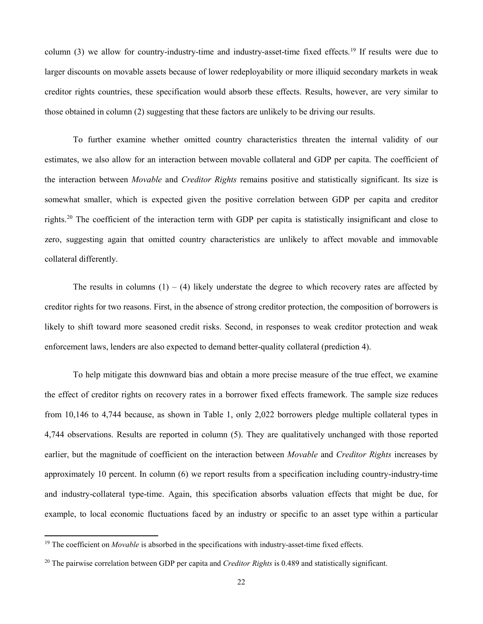column (3) we allow for country-industry-time and industry-asset-time fixed effects.<sup>[19](#page-22-0)</sup> If results were due to larger discounts on movable assets because of lower redeployability or more illiquid secondary markets in weak creditor rights countries, these specification would absorb these effects. Results, however, are very similar to those obtained in column (2) suggesting that these factors are unlikely to be driving our results.

To further examine whether omitted country characteristics threaten the internal validity of our estimates, we also allow for an interaction between movable collateral and GDP per capita. The coefficient of the interaction between *Movable* and *Creditor Rights* remains positive and statistically significant. Its size is somewhat smaller, which is expected given the positive correlation between GDP per capita and creditor rights.[20](#page-22-1) The coefficient of the interaction term with GDP per capita is statistically insignificant and close to zero, suggesting again that omitted country characteristics are unlikely to affect movable and immovable collateral differently.

The results in columns  $(1) - (4)$  likely understate the degree to which recovery rates are affected by creditor rights for two reasons. First, in the absence of strong creditor protection, the composition of borrowers is likely to shift toward more seasoned credit risks. Second, in responses to weak creditor protection and weak enforcement laws, lenders are also expected to demand better-quality collateral (prediction 4).

To help mitigate this downward bias and obtain a more precise measure of the true effect, we examine the effect of creditor rights on recovery rates in a borrower fixed effects framework. The sample size reduces from 10,146 to 4,744 because, as shown in Table 1, only 2,022 borrowers pledge multiple collateral types in 4,744 observations. Results are reported in column (5). They are qualitatively unchanged with those reported earlier, but the magnitude of coefficient on the interaction between *Movable* and *Creditor Rights* increases by approximately 10 percent. In column (6) we report results from a specification including country-industry-time and industry-collateral type-time. Again, this specification absorbs valuation effects that might be due, for example, to local economic fluctuations faced by an industry or specific to an asset type within a particular

 $\overline{\phantom{a}}$ 

<span id="page-22-0"></span><sup>&</sup>lt;sup>19</sup> The coefficient on *Movable* is absorbed in the specifications with industry-asset-time fixed effects.

<span id="page-22-1"></span><sup>20</sup> The pairwise correlation between GDP per capita and *Creditor Rights* is 0.489 and statistically significant.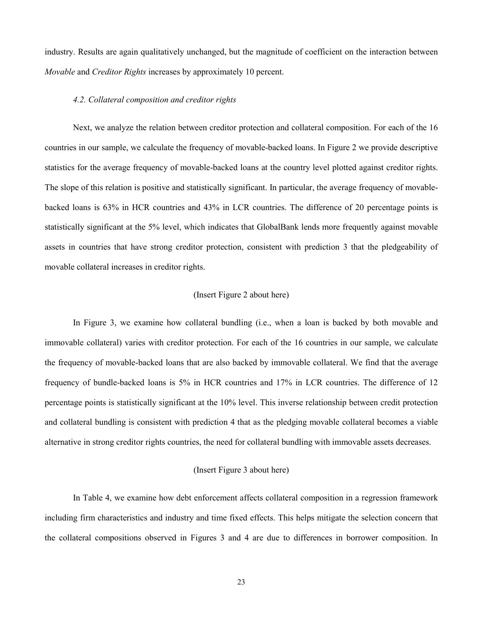industry. Results are again qualitatively unchanged, but the magnitude of coefficient on the interaction between *Movable* and *Creditor Rights* increases by approximately 10 percent.

#### *4.2. Collateral composition and creditor rights*

Next, we analyze the relation between creditor protection and collateral composition. For each of the 16 countries in our sample, we calculate the frequency of movable-backed loans. In Figure 2 we provide descriptive statistics for the average frequency of movable-backed loans at the country level plotted against creditor rights. The slope of this relation is positive and statistically significant. In particular, the average frequency of movablebacked loans is 63% in HCR countries and 43% in LCR countries. The difference of 20 percentage points is statistically significant at the 5% level, which indicates that GlobalBank lends more frequently against movable assets in countries that have strong creditor protection, consistent with prediction 3 that the pledgeability of movable collateral increases in creditor rights.

## (Insert Figure 2 about here)

In Figure 3, we examine how collateral bundling (i.e., when a loan is backed by both movable and immovable collateral) varies with creditor protection. For each of the 16 countries in our sample, we calculate the frequency of movable-backed loans that are also backed by immovable collateral. We find that the average frequency of bundle-backed loans is 5% in HCR countries and 17% in LCR countries. The difference of 12 percentage points is statistically significant at the 10% level. This inverse relationship between credit protection and collateral bundling is consistent with prediction 4 that as the pledging movable collateral becomes a viable alternative in strong creditor rights countries, the need for collateral bundling with immovable assets decreases.

## (Insert Figure 3 about here)

In Table 4, we examine how debt enforcement affects collateral composition in a regression framework including firm characteristics and industry and time fixed effects. This helps mitigate the selection concern that the collateral compositions observed in Figures 3 and 4 are due to differences in borrower composition. In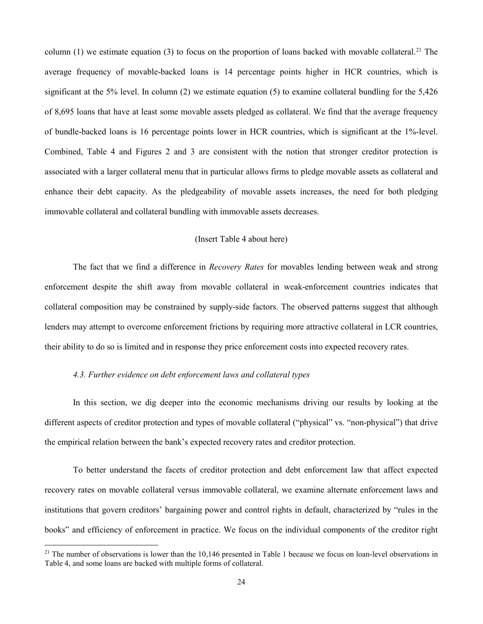column (1) we estimate equation (3) to focus on the proportion of loans backed with movable collateral.<sup>[21](#page-24-0)</sup> The average frequency of movable-backed loans is 14 percentage points higher in HCR countries, which is significant at the 5% level. In column (2) we estimate equation (5) to examine collateral bundling for the 5,426 of 8,695 loans that have at least some movable assets pledged as collateral. We find that the average frequency of bundle-backed loans is 16 percentage points lower in HCR countries, which is significant at the 1%-level. Combined, Table 4 and Figures 2 and 3 are consistent with the notion that stronger creditor protection is associated with a larger collateral menu that in particular allows firms to pledge movable assets as collateral and enhance their debt capacity. As the pledgeability of movable assets increases, the need for both pledging immovable collateral and collateral bundling with immovable assets decreases.

## (Insert Table 4 about here)

The fact that we find a difference in *Recovery Rates* for movables lending between weak and strong enforcement despite the shift away from movable collateral in weak-enforcement countries indicates that collateral composition may be constrained by supply-side factors. The observed patterns suggest that although lenders may attempt to overcome enforcement frictions by requiring more attractive collateral in LCR countries, their ability to do so is limited and in response they price enforcement costs into expected recovery rates.

# *4.3. Further evidence on debt enforcement laws and collateral types*

 $\overline{\phantom{a}}$ 

In this section, we dig deeper into the economic mechanisms driving our results by looking at the different aspects of creditor protection and types of movable collateral ("physical" vs. "non-physical") that drive the empirical relation between the bank's expected recovery rates and creditor protection.

To better understand the facets of creditor protection and debt enforcement law that affect expected recovery rates on movable collateral versus immovable collateral, we examine alternate enforcement laws and institutions that govern creditors' bargaining power and control rights in default, characterized by "rules in the books" and efficiency of enforcement in practice. We focus on the individual components of the creditor right

<span id="page-24-0"></span> $21$  The number of observations is lower than the 10,146 presented in Table 1 because we focus on loan-level observations in Table 4, and some loans are backed with multiple forms of collateral.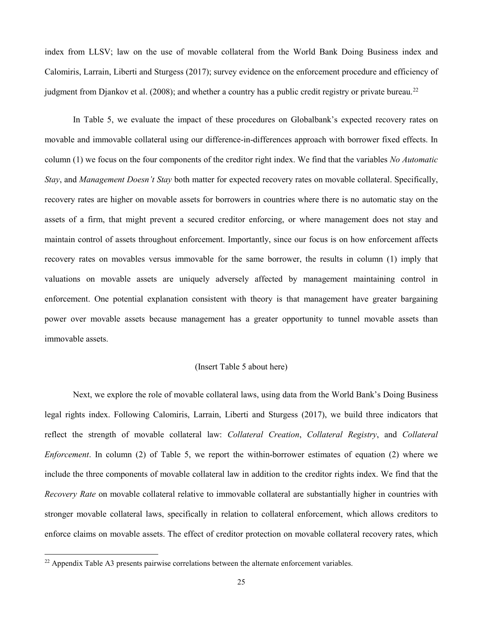index from LLSV; law on the use of movable collateral from the World Bank Doing Business index and Calomiris, Larrain, Liberti and Sturgess (2017); survey evidence on the enforcement procedure and efficiency of judgment from Djankov et al. (2008); and whether a country has a public credit registry or private bureau.<sup>[22](#page-25-0)</sup>

In Table 5, we evaluate the impact of these procedures on Globalbank's expected recovery rates on movable and immovable collateral using our difference-in-differences approach with borrower fixed effects. In column (1) we focus on the four components of the creditor right index. We find that the variables *No Automatic Stay*, and *Management Doesn't Stay* both matter for expected recovery rates on movable collateral. Specifically, recovery rates are higher on movable assets for borrowers in countries where there is no automatic stay on the assets of a firm, that might prevent a secured creditor enforcing, or where management does not stay and maintain control of assets throughout enforcement. Importantly, since our focus is on how enforcement affects recovery rates on movables versus immovable for the same borrower, the results in column (1) imply that valuations on movable assets are uniquely adversely affected by management maintaining control in enforcement. One potential explanation consistent with theory is that management have greater bargaining power over movable assets because management has a greater opportunity to tunnel movable assets than immovable assets.

## (Insert Table 5 about here)

Next, we explore the role of movable collateral laws, using data from the World Bank's Doing Business legal rights index. Following Calomiris, Larrain, Liberti and Sturgess (2017), we build three indicators that reflect the strength of movable collateral law: *Collateral Creation*, *Collateral Registry*, and *Collateral Enforcement*. In column (2) of Table 5, we report the within-borrower estimates of equation (2) where we include the three components of movable collateral law in addition to the creditor rights index. We find that the *Recovery Rate* on movable collateral relative to immovable collateral are substantially higher in countries with stronger movable collateral laws, specifically in relation to collateral enforcement, which allows creditors to enforce claims on movable assets. The effect of creditor protection on movable collateral recovery rates, which

<span id="page-25-0"></span> $22$  Appendix Table A3 presents pairwise correlations between the alternate enforcement variables.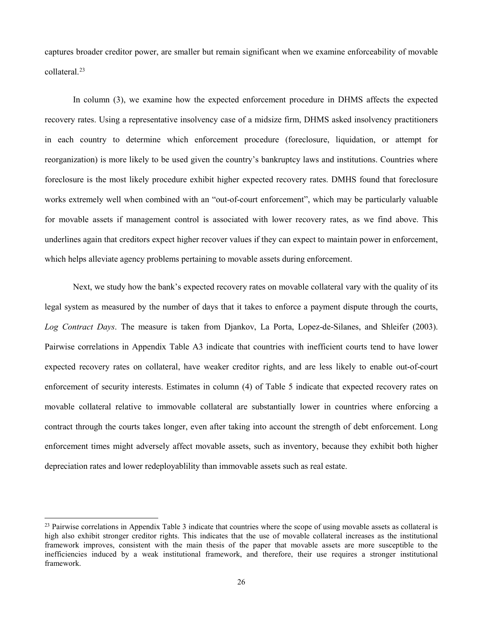captures broader creditor power, are smaller but remain significant when we examine enforceability of movable collateral. [23](#page-26-0)

In column (3), we examine how the expected enforcement procedure in DHMS affects the expected recovery rates. Using a representative insolvency case of a midsize firm, DHMS asked insolvency practitioners in each country to determine which enforcement procedure (foreclosure, liquidation, or attempt for reorganization) is more likely to be used given the country's bankruptcy laws and institutions. Countries where foreclosure is the most likely procedure exhibit higher expected recovery rates. DMHS found that foreclosure works extremely well when combined with an "out-of-court enforcement", which may be particularly valuable for movable assets if management control is associated with lower recovery rates, as we find above. This underlines again that creditors expect higher recover values if they can expect to maintain power in enforcement, which helps alleviate agency problems pertaining to movable assets during enforcement.

Next, we study how the bank's expected recovery rates on movable collateral vary with the quality of its legal system as measured by the number of days that it takes to enforce a payment dispute through the courts, *Log Contract Days*. The measure is taken from Djankov, La Porta, Lopez-de-Silanes, and Shleifer (2003). Pairwise correlations in Appendix Table A3 indicate that countries with inefficient courts tend to have lower expected recovery rates on collateral, have weaker creditor rights, and are less likely to enable out-of-court enforcement of security interests. Estimates in column (4) of Table 5 indicate that expected recovery rates on movable collateral relative to immovable collateral are substantially lower in countries where enforcing a contract through the courts takes longer, even after taking into account the strength of debt enforcement. Long enforcement times might adversely affect movable assets, such as inventory, because they exhibit both higher depreciation rates and lower redeployablility than immovable assets such as real estate.

 $\overline{a}$ 

<span id="page-26-0"></span> $^{23}$  Pairwise correlations in Appendix Table 3 indicate that countries where the scope of using movable assets as collateral is high also exhibit stronger creditor rights. This indicates that the use of movable collateral increases as the institutional framework improves, consistent with the main thesis of the paper that movable assets are more susceptible to the inefficiencies induced by a weak institutional framework, and therefore, their use requires a stronger institutional framework.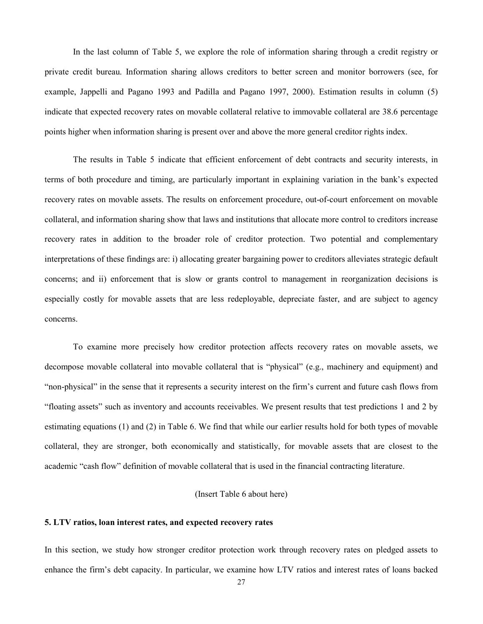In the last column of Table 5, we explore the role of information sharing through a credit registry or private credit bureau. Information sharing allows creditors to better screen and monitor borrowers (see, for example, Jappelli and Pagano 1993 and Padilla and Pagano 1997, 2000). Estimation results in column (5) indicate that expected recovery rates on movable collateral relative to immovable collateral are 38.6 percentage points higher when information sharing is present over and above the more general creditor rights index.

The results in Table 5 indicate that efficient enforcement of debt contracts and security interests, in terms of both procedure and timing, are particularly important in explaining variation in the bank's expected recovery rates on movable assets. The results on enforcement procedure, out-of-court enforcement on movable collateral, and information sharing show that laws and institutions that allocate more control to creditors increase recovery rates in addition to the broader role of creditor protection. Two potential and complementary interpretations of these findings are: i) allocating greater bargaining power to creditors alleviates strategic default concerns; and ii) enforcement that is slow or grants control to management in reorganization decisions is especially costly for movable assets that are less redeployable, depreciate faster, and are subject to agency concerns.

To examine more precisely how creditor protection affects recovery rates on movable assets, we decompose movable collateral into movable collateral that is "physical" (e.g., machinery and equipment) and "non-physical" in the sense that it represents a security interest on the firm's current and future cash flows from "floating assets" such as inventory and accounts receivables. We present results that test predictions 1 and 2 by estimating equations (1) and (2) in Table 6. We find that while our earlier results hold for both types of movable collateral, they are stronger, both economically and statistically, for movable assets that are closest to the academic "cash flow" definition of movable collateral that is used in the financial contracting literature.

## (Insert Table 6 about here)

## **5. LTV ratios, loan interest rates, and expected recovery rates**

In this section, we study how stronger creditor protection work through recovery rates on pledged assets to enhance the firm's debt capacity. In particular, we examine how LTV ratios and interest rates of loans backed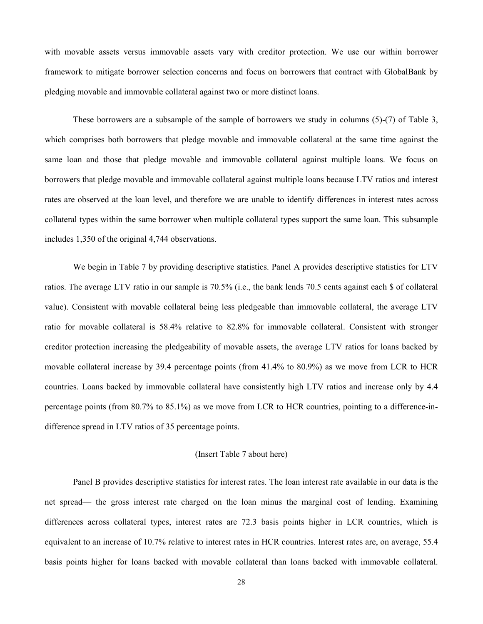with movable assets versus immovable assets vary with creditor protection. We use our within borrower framework to mitigate borrower selection concerns and focus on borrowers that contract with GlobalBank by pledging movable and immovable collateral against two or more distinct loans.

These borrowers are a subsample of the sample of borrowers we study in columns (5)-(7) of Table 3, which comprises both borrowers that pledge movable and immovable collateral at the same time against the same loan and those that pledge movable and immovable collateral against multiple loans. We focus on borrowers that pledge movable and immovable collateral against multiple loans because LTV ratios and interest rates are observed at the loan level, and therefore we are unable to identify differences in interest rates across collateral types within the same borrower when multiple collateral types support the same loan. This subsample includes 1,350 of the original 4,744 observations.

We begin in Table 7 by providing descriptive statistics. Panel A provides descriptive statistics for LTV ratios. The average LTV ratio in our sample is 70.5% (i.e., the bank lends 70.5 cents against each \$ of collateral value). Consistent with movable collateral being less pledgeable than immovable collateral, the average LTV ratio for movable collateral is 58.4% relative to 82.8% for immovable collateral. Consistent with stronger creditor protection increasing the pledgeability of movable assets, the average LTV ratios for loans backed by movable collateral increase by 39.4 percentage points (from 41.4% to 80.9%) as we move from LCR to HCR countries. Loans backed by immovable collateral have consistently high LTV ratios and increase only by 4.4 percentage points (from 80.7% to 85.1%) as we move from LCR to HCR countries, pointing to a difference-indifference spread in LTV ratios of 35 percentage points.

## (Insert Table 7 about here)

Panel B provides descriptive statistics for interest rates. The loan interest rate available in our data is the net spread— the gross interest rate charged on the loan minus the marginal cost of lending. Examining differences across collateral types, interest rates are 72.3 basis points higher in LCR countries, which is equivalent to an increase of 10.7% relative to interest rates in HCR countries. Interest rates are, on average, 55.4 basis points higher for loans backed with movable collateral than loans backed with immovable collateral.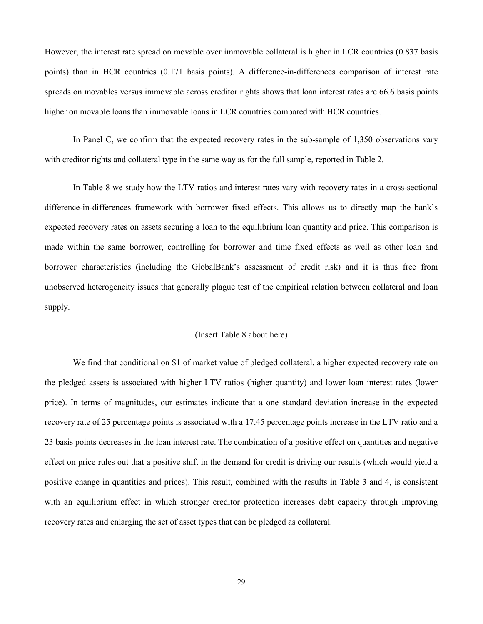However, the interest rate spread on movable over immovable collateral is higher in LCR countries (0.837 basis points) than in HCR countries (0.171 basis points). A difference-in-differences comparison of interest rate spreads on movables versus immovable across creditor rights shows that loan interest rates are 66.6 basis points higher on movable loans than immovable loans in LCR countries compared with HCR countries.

In Panel C, we confirm that the expected recovery rates in the sub-sample of 1,350 observations vary with creditor rights and collateral type in the same way as for the full sample, reported in Table 2.

In Table 8 we study how the LTV ratios and interest rates vary with recovery rates in a cross-sectional difference-in-differences framework with borrower fixed effects. This allows us to directly map the bank's expected recovery rates on assets securing a loan to the equilibrium loan quantity and price. This comparison is made within the same borrower, controlling for borrower and time fixed effects as well as other loan and borrower characteristics (including the GlobalBank's assessment of credit risk) and it is thus free from unobserved heterogeneity issues that generally plague test of the empirical relation between collateral and loan supply.

## (Insert Table 8 about here)

We find that conditional on \$1 of market value of pledged collateral, a higher expected recovery rate on the pledged assets is associated with higher LTV ratios (higher quantity) and lower loan interest rates (lower price). In terms of magnitudes, our estimates indicate that a one standard deviation increase in the expected recovery rate of 25 percentage points is associated with a 17.45 percentage points increase in the LTV ratio and a 23 basis points decreases in the loan interest rate. The combination of a positive effect on quantities and negative effect on price rules out that a positive shift in the demand for credit is driving our results (which would yield a positive change in quantities and prices). This result, combined with the results in Table 3 and 4, is consistent with an equilibrium effect in which stronger creditor protection increases debt capacity through improving recovery rates and enlarging the set of asset types that can be pledged as collateral.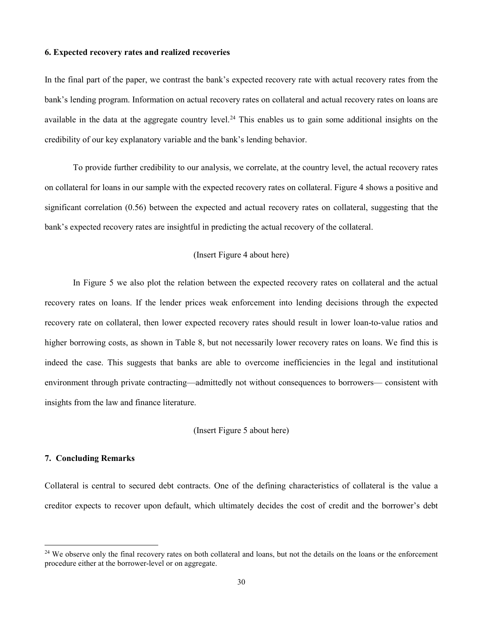## **6. Expected recovery rates and realized recoveries**

In the final part of the paper, we contrast the bank's expected recovery rate with actual recovery rates from the bank's lending program. Information on actual recovery rates on collateral and actual recovery rates on loans are available in the data at the aggregate country level.<sup>[24](#page-30-0)</sup> This enables us to gain some additional insights on the credibility of our key explanatory variable and the bank's lending behavior.

To provide further credibility to our analysis, we correlate, at the country level, the actual recovery rates on collateral for loans in our sample with the expected recovery rates on collateral. Figure 4 shows a positive and significant correlation (0.56) between the expected and actual recovery rates on collateral, suggesting that the bank's expected recovery rates are insightful in predicting the actual recovery of the collateral.

## (Insert Figure 4 about here)

In Figure 5 we also plot the relation between the expected recovery rates on collateral and the actual recovery rates on loans. If the lender prices weak enforcement into lending decisions through the expected recovery rate on collateral, then lower expected recovery rates should result in lower loan-to-value ratios and higher borrowing costs, as shown in Table 8, but not necessarily lower recovery rates on loans. We find this is indeed the case. This suggests that banks are able to overcome inefficiencies in the legal and institutional environment through private contracting—admittedly not without consequences to borrowers— consistent with insights from the law and finance literature.

(Insert Figure 5 about here)

#### **7. Concluding Remarks**

 $\overline{\phantom{a}}$ 

Collateral is central to secured debt contracts. One of the defining characteristics of collateral is the value a creditor expects to recover upon default, which ultimately decides the cost of credit and the borrower's debt

<span id="page-30-0"></span><sup>&</sup>lt;sup>24</sup> We observe only the final recovery rates on both collateral and loans, but not the details on the loans or the enforcement procedure either at the borrower-level or on aggregate.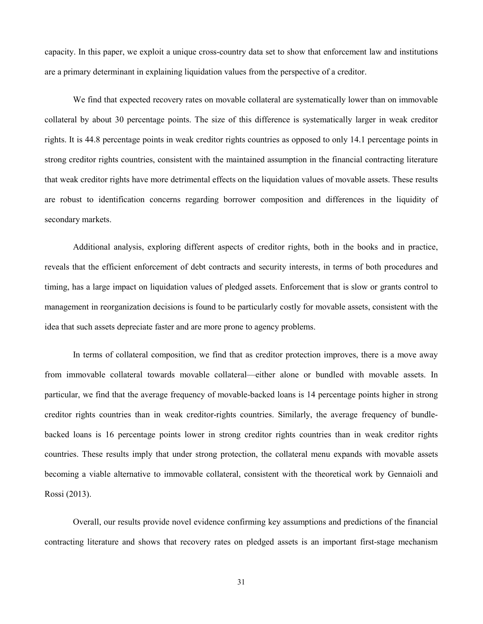capacity. In this paper, we exploit a unique cross-country data set to show that enforcement law and institutions are a primary determinant in explaining liquidation values from the perspective of a creditor.

We find that expected recovery rates on movable collateral are systematically lower than on immovable collateral by about 30 percentage points. The size of this difference is systematically larger in weak creditor rights. It is 44.8 percentage points in weak creditor rights countries as opposed to only 14.1 percentage points in strong creditor rights countries, consistent with the maintained assumption in the financial contracting literature that weak creditor rights have more detrimental effects on the liquidation values of movable assets. These results are robust to identification concerns regarding borrower composition and differences in the liquidity of secondary markets.

Additional analysis, exploring different aspects of creditor rights, both in the books and in practice, reveals that the efficient enforcement of debt contracts and security interests, in terms of both procedures and timing, has a large impact on liquidation values of pledged assets. Enforcement that is slow or grants control to management in reorganization decisions is found to be particularly costly for movable assets, consistent with the idea that such assets depreciate faster and are more prone to agency problems.

In terms of collateral composition, we find that as creditor protection improves, there is a move away from immovable collateral towards movable collateral—either alone or bundled with movable assets. In particular, we find that the average frequency of movable-backed loans is 14 percentage points higher in strong creditor rights countries than in weak creditor-rights countries. Similarly, the average frequency of bundlebacked loans is 16 percentage points lower in strong creditor rights countries than in weak creditor rights countries. These results imply that under strong protection, the collateral menu expands with movable assets becoming a viable alternative to immovable collateral, consistent with the theoretical work by Gennaioli and Rossi (2013).

Overall, our results provide novel evidence confirming key assumptions and predictions of the financial contracting literature and shows that recovery rates on pledged assets is an important first-stage mechanism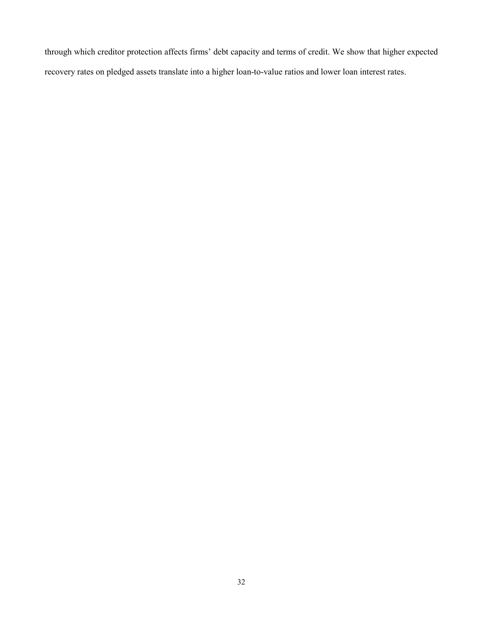through which creditor protection affects firms' debt capacity and terms of credit. We show that higher expected recovery rates on pledged assets translate into a higher loan-to-value ratios and lower loan interest rates.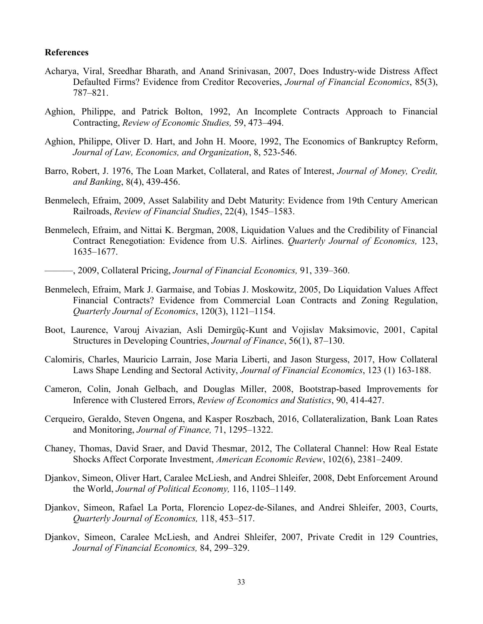## **References**

- Acharya, Viral, Sreedhar Bharath, and Anand Srinivasan, 2007, Does Industry-wide Distress Affect Defaulted Firms? Evidence from Creditor Recoveries, *Journal of Financial Economics*, 85(3), 787–821.
- Aghion, Philippe, and Patrick Bolton, 1992, An Incomplete Contracts Approach to Financial Contracting, *Review of Economic Studies,* 59, 473–494.
- Aghion, Philippe, Oliver D. Hart, and John H. Moore, 1992, The Economics of Bankruptcy Reform, *Journal of Law, Economics, and Organization*, 8, 523-546.
- Barro, Robert, J. 1976, The Loan Market, Collateral, and Rates of Interest, *Journal of Money, Credit, and Banking*, 8(4), 439-456.
- Benmelech, Efraim, 2009, Asset Salability and Debt Maturity: Evidence from 19th Century American Railroads, *Review of Financial Studies*, 22(4), 1545–1583.
- Benmelech, Efraim, and Nittai K. Bergman, 2008, Liquidation Values and the Credibility of Financial Contract Renegotiation: Evidence from U.S. Airlines. *Quarterly Journal of Economics,* 123, 1635–1677.
- ———, 2009, Collateral Pricing, *Journal of Financial Economics,* 91, 339–360.
- Benmelech, Efraim, Mark J. Garmaise, and Tobias J. Moskowitz, 2005, Do Liquidation Values Affect Financial Contracts? Evidence from Commercial Loan Contracts and Zoning Regulation, *Quarterly Journal of Economics*, 120(3), 1121–1154.
- Boot, Laurence, Varouj Aivazian, Asli Demirgüç-Kunt and Vojislav Maksimovic, 2001, Capital Structures in Developing Countries, *Journal of Finance*, 56(1), 87–130.
- Calomiris, Charles, Mauricio Larrain, Jose Maria Liberti, and Jason Sturgess, 2017, How Collateral Laws Shape Lending and Sectoral Activity, *Journal of Financial Economics*, 123 (1) 163-188.
- Cameron, Colin, Jonah Gelbach, and Douglas Miller, 2008, Bootstrap-based Improvements for Inference with Clustered Errors, *Review of Economics and Statistics*, 90, 414-427.
- Cerqueiro, Geraldo, Steven Ongena, and Kasper Roszbach, 2016, Collateralization, Bank Loan Rates and Monitoring, *Journal of Finance,* 71, 1295–1322.
- Chaney, Thomas, David Sraer, and David Thesmar, 2012, The Collateral Channel: How Real Estate Shocks Affect Corporate Investment, *American Economic Review*, 102(6), 2381–2409.
- Djankov, Simeon, Oliver Hart, Caralee McLiesh, and Andrei Shleifer, 2008, Debt Enforcement Around the World, *Journal of Political Economy,* 116, 1105–1149.
- Djankov, Simeon, Rafael La Porta, Florencio Lopez-de-Silanes, and Andrei Shleifer, 2003, Courts, *Quarterly Journal of Economics,* 118, 453–517.
- Djankov, Simeon, Caralee McLiesh, and Andrei Shleifer, 2007, Private Credit in 129 Countries, *Journal of Financial Economics,* 84, 299–329.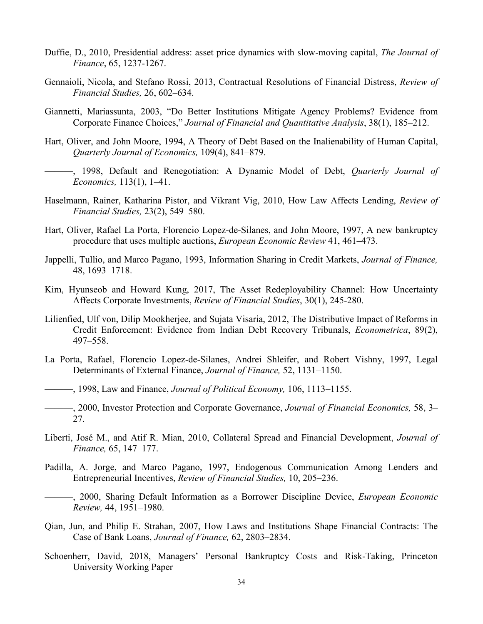- Duffie, D., 2010, Presidential address: asset price dynamics with slow-moving capital, *The Journal of Finance*, 65, 1237-1267.
- Gennaioli, Nicola, and Stefano Rossi, 2013, Contractual Resolutions of Financial Distress, *Review of Financial Studies,* 26, 602–634.
- Giannetti, Mariassunta, 2003, "Do Better Institutions Mitigate Agency Problems? Evidence from Corporate Finance Choices," *Journal of Financial and Quantitative Analysis*, 38(1), 185–212.
- Hart, Oliver, and John Moore, 1994, A Theory of Debt Based on the Inalienability of Human Capital, *Quarterly Journal of Economics,* 109(4), 841–879.
- ———, 1998, Default and Renegotiation: A Dynamic Model of Debt, *Quarterly Journal of Economics,* 113(1), 1–41.
- Haselmann, Rainer, Katharina Pistor, and Vikrant Vig, 2010, How Law Affects Lending, *Review of Financial Studies,* 23(2), 549–580.
- Hart, Oliver, Rafael La Porta, Florencio Lopez-de-Silanes, and John Moore, 1997, A new bankruptcy procedure that uses multiple auctions, *European Economic Review* 41, 461–473.
- Jappelli, Tullio, and Marco Pagano, 1993, Information Sharing in Credit Markets, *Journal of Finance,* 48, 1693–1718.
- Kim, Hyunseob and Howard Kung, 2017, The Asset Redeployability Channel: How Uncertainty Affects Corporate Investments, *Review of Financial Studies*, 30(1), 245-280.
- Lilienfied, Ulf von, Dilip Mookherjee, and Sujata Visaria, 2012, The Distributive Impact of Reforms in Credit Enforcement: Evidence from Indian Debt Recovery Tribunals, *Econometrica*, 89(2), 497–558.
- La Porta, Rafael, Florencio Lopez-de-Silanes, Andrei Shleifer, and Robert Vishny, 1997, Legal Determinants of External Finance, *Journal of Finance,* 52, 1131–1150.
- ———, 1998, Law and Finance, *Journal of Political Economy,* 106, 1113–1155.
- ———, 2000, Investor Protection and Corporate Governance, *Journal of Financial Economics,* 58, 3– 27.
- Liberti, José M., and Atif R. Mian, 2010, Collateral Spread and Financial Development, *Journal of Finance,* 65, 147–177.
- Padilla, A. Jorge, and Marco Pagano, 1997, Endogenous Communication Among Lenders and Entrepreneurial Incentives, *Review of Financial Studies,* 10, 205–236.
- ———, 2000, Sharing Default Information as a Borrower Discipline Device, *European Economic Review,* 44, 1951–1980.
- Qian, Jun, and Philip E. Strahan, 2007, How Laws and Institutions Shape Financial Contracts: The Case of Bank Loans, *Journal of Finance,* 62, 2803–2834.
- Schoenherr, David, 2018, Managers' Personal Bankruptcy Costs and Risk-Taking, Princeton University Working Paper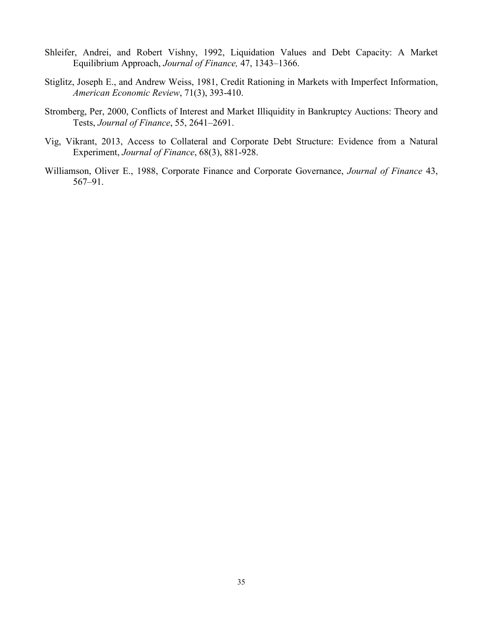- Shleifer, Andrei, and Robert Vishny, 1992, Liquidation Values and Debt Capacity: A Market Equilibrium Approach, *Journal of Finance,* 47, 1343–1366.
- Stiglitz, Joseph E., and Andrew Weiss, 1981, Credit Rationing in Markets with Imperfect Information, *American Economic Review*, 71(3), 393-410.
- Stromberg, Per, 2000, Conflicts of Interest and Market Illiquidity in Bankruptcy Auctions: Theory and Tests, *Journal of Finance*, 55, 2641–2691.
- Vig, Vikrant, 2013, Access to Collateral and Corporate Debt Structure: Evidence from a Natural Experiment, *Journal of Finance*, 68(3), 881-928.
- Williamson, Oliver E., 1988, Corporate Finance and Corporate Governance, *Journal of Finance* 43, 567–91.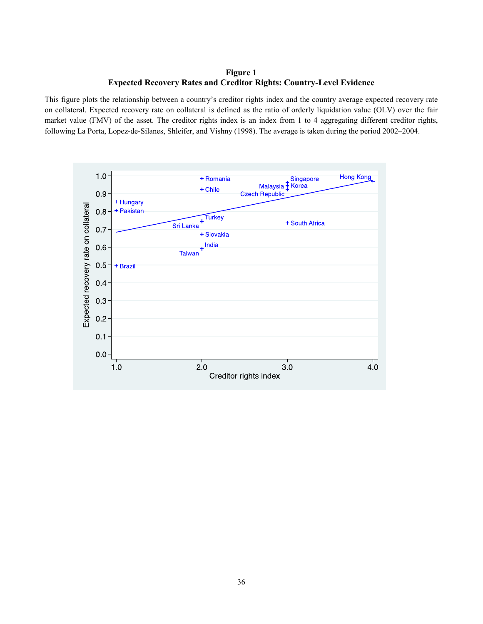## **Figure 1 Expected Recovery Rates and Creditor Rights: Country-Level Evidence**

This figure plots the relationship between a country's creditor rights index and the country average expected recovery rate on collateral. Expected recovery rate on collateral is defined as the ratio of orderly liquidation value (OLV) over the fair market value (FMV) of the asset. The creditor rights index is an index from 1 to 4 aggregating different creditor rights, following La Porta, Lopez-de-Silanes, Shleifer, and Vishny (1998). The average is taken during the period 2002–2004.

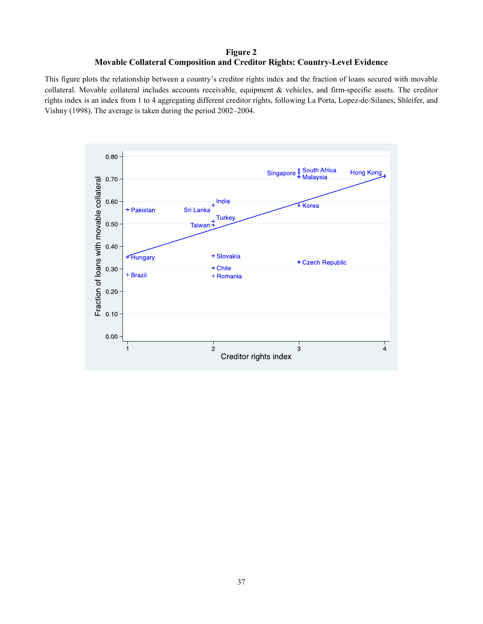# **Figure 2 Movable Collateral Composition and Creditor Rights: Country-Level Evidence**

This figure plots the relationship between a country's creditor rights index and the fraction of loans secured with movable collateral. Movable collateral includes accounts receivable, equipment & vehicles, and firm-specific assets. The creditor rights index is an index from 1 to 4 aggregating different creditor rights, following La Porta, Lopez-de-Silanes, Shleifer, and Vishny (1998). The average is taken during the period 2002–2004.

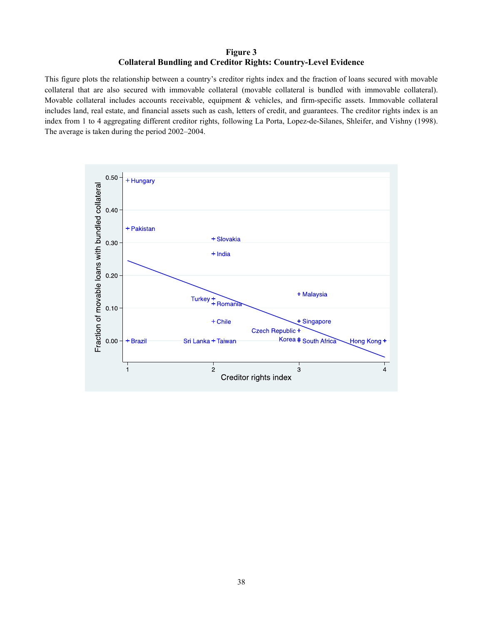# **Figure 3 Collateral Bundling and Creditor Rights: Country-Level Evidence**

This figure plots the relationship between a country's creditor rights index and the fraction of loans secured with movable collateral that are also secured with immovable collateral (movable collateral is bundled with immovable collateral). Movable collateral includes accounts receivable, equipment & vehicles, and firm-specific assets. Immovable collateral includes land, real estate, and financial assets such as cash, letters of credit, and guarantees. The creditor rights index is an index from 1 to 4 aggregating different creditor rights, following La Porta, Lopez-de-Silanes, Shleifer, and Vishny (1998). The average is taken during the period 2002–2004.

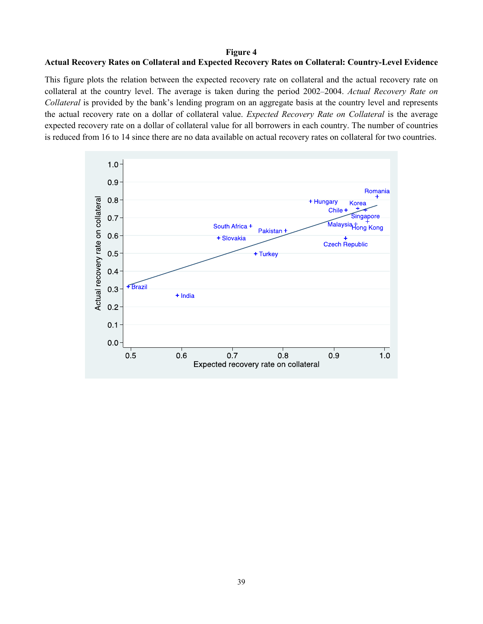## **Figure 4**

# **Actual Recovery Rates on Collateral and Expected Recovery Rates on Collateral: Country-Level Evidence**

This figure plots the relation between the expected recovery rate on collateral and the actual recovery rate on collateral at the country level. The average is taken during the period 2002–2004. *Actual Recovery Rate on Collateral* is provided by the bank's lending program on an aggregate basis at the country level and represents the actual recovery rate on a dollar of collateral value. *Expected Recovery Rate on Collateral* is the average expected recovery rate on a dollar of collateral value for all borrowers in each country. The number of countries is reduced from 16 to 14 since there are no data available on actual recovery rates on collateral for two countries.

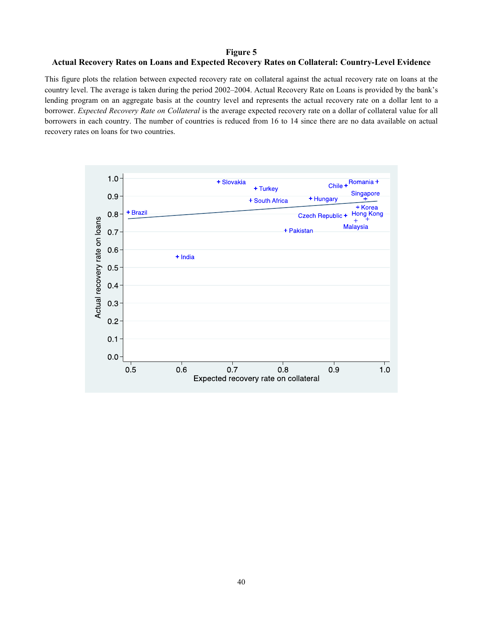## **Figure 5**

## **Actual Recovery Rates on Loans and Expected Recovery Rates on Collateral: Country-Level Evidence**

This figure plots the relation between expected recovery rate on collateral against the actual recovery rate on loans at the country level. The average is taken during the period 2002–2004. Actual Recovery Rate on Loans is provided by the bank's lending program on an aggregate basis at the country level and represents the actual recovery rate on a dollar lent to a borrower. *Expected Recovery Rate on Collateral* is the average expected recovery rate on a dollar of collateral value for all borrowers in each country. The number of countries is reduced from 16 to 14 since there are no data available on actual recovery rates on loans for two countries.

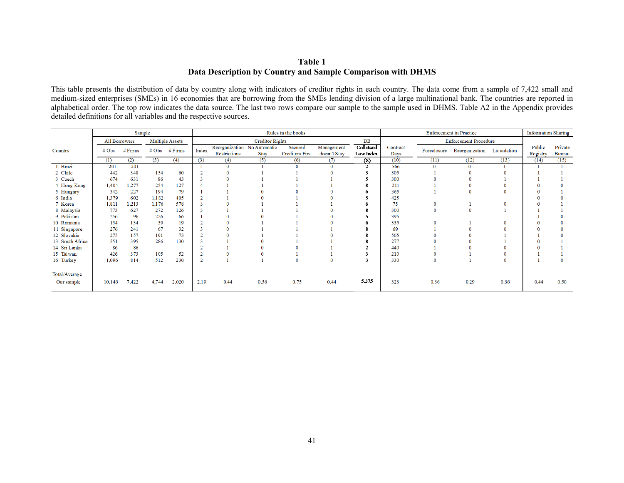# **Table 1 Data Description by Country and Sample Comparison with DHMS**

This table presents the distribution of data by country along with indicators of creditor rights in each country. The data come from a sample of 7,422 small and medium-sized enterprises (SMEs) in 16 economies that are borrowing from the SMEs lending division of a large multinational bank. The countries are reported in alphabetical order. The top row indicates the data source. The last two rows compare our sample to the sample used in DHMS. Table A2 in the Appendix provides detailed definitions for all variables and the respective sources.

|                 |                   | Sample    |                     |                 |                |                                             |                 | Rules in the books                |                            |                         |                  |             | <b>Enforcement</b> in Practice |      | <b>Information Sharing</b> |                          |
|-----------------|-------------------|-----------|---------------------|-----------------|----------------|---------------------------------------------|-----------------|-----------------------------------|----------------------------|-------------------------|------------------|-------------|--------------------------------|------|----------------------------|--------------------------|
|                 | All Borrowers     |           |                     | Multiple Assets |                |                                             | Creditor Rights |                                   |                            | DB                      |                  |             | <b>Enforcement Procedure</b>   |      |                            |                          |
| Country         | $# \, \text{Obs}$ | $#$ Firms | $# \, \mathrm{Obs}$ | $#$ Firms       | Index          | Reorganization No Automatic<br>Restrictions | Stay            | Secured<br><b>Creditors First</b> | Management<br>doesn't Stay | Collateral<br>Law Index | Contract<br>Days | Foreclosure | Reorganization Liquidation     |      | Public<br>Registry         | Private<br><b>Bureau</b> |
|                 | (1)               | (2)       | (3)                 | (4)             | (3)            | (4)                                         | (5)             | (6)                               | (7)                        | (8)                     | (10)             | (11)        | (12)                           | (13) | (14)                       | (15)                     |
| 1 Brazil        | 201               | 201       |                     |                 |                | $\Omega$                                    |                 | $\Omega$                          | $\Omega$                   | $\mathcal{L}$           | 566              |             | 0                              |      |                            |                          |
| 2 Chile         | 442               | 348       | 154                 | 60              |                |                                             |                 |                                   |                            |                         | 305              |             |                                |      |                            |                          |
| 3 Czech         | 674               | 631       | 86                  | 43              |                |                                             |                 |                                   |                            |                         | 300              |             |                                |      |                            |                          |
| 4 Hong Kong     | 1,404             | 1,277     | 254                 | 127             |                |                                             |                 |                                   |                            |                         | 211              |             |                                |      |                            |                          |
| 5 Hungary       | 342               | 227       | 194                 | 79              |                |                                             |                 |                                   |                            |                         | 365              |             |                                |      |                            |                          |
| 6 India         | 1,379             | 602       | 1,182               | 405             |                |                                             |                 |                                   |                            |                         | 425              |             |                                |      |                            |                          |
| 7 Korea         | 1,811             | 1,213     | 1,176               | 578             |                |                                             |                 |                                   |                            |                         | 75               |             |                                |      |                            |                          |
| 8 Malaysia      | 773               | 627       | 272                 | 126             |                |                                             |                 |                                   |                            |                         | 300              |             |                                |      |                            |                          |
| 9 Pakistan      | 256               | 96        | 226                 | 66              |                |                                             |                 |                                   |                            |                         | 395              |             |                                |      |                            |                          |
| 10 Romania      | 154               | 134       | 39                  | 19              |                |                                             |                 |                                   |                            |                         | 335              |             |                                |      |                            |                          |
| 11 Singapore    | 276               | 241       | 67                  | 32              |                |                                             |                 |                                   |                            |                         | 69               |             |                                |      |                            |                          |
| 12 Slovakia     | 275               | 157       | 191                 | 73              |                |                                             |                 |                                   |                            |                         | 565              |             |                                |      |                            |                          |
| 13 South Africa | 551               | 395       | 286                 | 130             |                |                                             |                 |                                   |                            |                         | 277              |             |                                |      |                            |                          |
| 14 Sri Lanka    | 86                | 86        |                     |                 |                |                                             |                 |                                   |                            |                         | 440              |             |                                |      |                            |                          |
| 15 Taiwan       | 426               | 373       | 105                 | 52              |                |                                             |                 |                                   |                            |                         | 210              |             |                                |      |                            |                          |
| 16 Turkey       | 1,096             | 814       | 512                 | 230             | $\overline{2}$ |                                             |                 |                                   |                            | -3                      | 330              |             |                                |      |                            |                          |
| Total/Average   |                   |           |                     |                 |                |                                             |                 |                                   |                            |                         |                  |             |                                |      |                            |                          |
| Our sample      | 10,146            | 7,422     | 4,744               | 2,020           | 2.19           | 0.44                                        | 0.56            | 0.75                              | 0.44                       | 5.375                   | 323              | 0.36        | 0.29                           | 0.36 | 0.44                       | 0.50                     |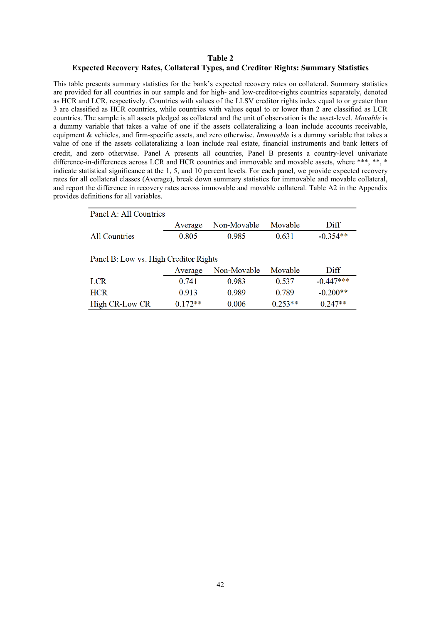#### **Table 2**

#### **Expected Recovery Rates, Collateral Types, and Creditor Rights: Summary Statistics**

This table presents summary statistics for the bank's expected recovery rates on collateral. Summary statistics are provided for all countries in our sample and for high- and low-creditor-rights countries separately, denoted as HCR and LCR, respectively. Countries with values of the LLSV creditor rights index equal to or greater than 3 are classified as HCR countries, while countries with values equal to or lower than 2 are classified as LCR countries. The sample is all assets pledged as collateral and the unit of observation is the asset-level. *Movable* is a dummy variable that takes a value of one if the assets collateralizing a loan include accounts receivable, equipment & vehicles, and firm-specific assets, and zero otherwise. *Immovable* is a dummy variable that takes a value of one if the assets collateralizing a loan include real estate, financial instruments and bank letters of credit, and zero otherwise. Panel A presents all countries, Panel B presents a country-level univariate difference-in-differences across LCR and HCR countries and immovable and movable assets, where \*\*\*, \*\*, \* indicate statistical significance at the 1, 5, and 10 percent levels. For each panel, we provide expected recovery rates for all collateral classes (Average), break down summary statistics for immovable and movable collateral, and report the difference in recovery rates across immovable and movable collateral. Table A2 in the Appendix provides definitions for all variables.

| Panel A: All Countries                |           |             |           |             |  |  |  |  |
|---------------------------------------|-----------|-------------|-----------|-------------|--|--|--|--|
|                                       | Average   | Non-Movable | Movable   | Diff        |  |  |  |  |
| <b>All Countries</b>                  | 0.805     | 0.985       | 0.631     | $-0.354**$  |  |  |  |  |
|                                       |           |             |           |             |  |  |  |  |
| Panel B: Low vs. High Creditor Rights |           |             |           |             |  |  |  |  |
|                                       | Average   | Non-Movable | Movable   | Diff        |  |  |  |  |
| LCR <sup>1</sup>                      | 0.741     | 0.983       | 0.537     | $-0.447***$ |  |  |  |  |
| <b>HCR</b>                            | 0.913     | 0.989       | 0.789     | $-0.200**$  |  |  |  |  |
| High CR-Low CR                        | $0.172**$ | 0.006       | $0.253**$ | $0.247**$   |  |  |  |  |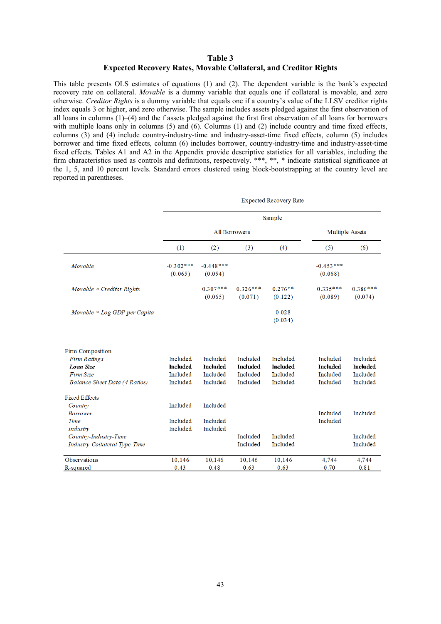## **Table 3 Expected Recovery Rates, Movable Collateral, and Creditor Rights**

This table presents OLS estimates of equations (1) and (2). The dependent variable is the bank's expected recovery rate on collateral. *Movable* is a dummy variable that equals one if collateral is movable, and zero otherwise. *Creditor Rights* is a dummy variable that equals one if a country's value of the LLSV creditor rights index equals 3 or higher, and zero otherwise. The sample includes assets pledged against the first observation of all loans in columns (1)–(4) and the f assets pledged against the first first observation of all loans for borrowers with multiple loans only in columns (5) and (6). Columns (1) and (2) include country and time fixed effects, columns (3) and (4) include country-industry-time and industry-asset-time fixed effects, column (5) includes borrower and time fixed effects, column (6) includes borrower, country-industry-time and industry-asset-time fixed effects. Tables A1 and A2 in the Appendix provide descriptive statistics for all variables, including the firm characteristics used as controls and definitions, respectively. \*\*\*, \*\*, \* indicate statistical significance at the 1, 5, and 10 percent levels. Standard errors clustered using block-bootstrapping at the country level are reported in parentheses.

|                                     |                        |                        |                        | <b>Expected Recovery Rate</b> |                        |                       |
|-------------------------------------|------------------------|------------------------|------------------------|-------------------------------|------------------------|-----------------------|
|                                     |                        |                        |                        | Sample                        |                        |                       |
|                                     |                        | <b>All Borrowers</b>   | <b>Multiple Assets</b> |                               |                        |                       |
|                                     | (1)                    | (2)                    | (3)                    | (4)                           | (5)                    | (6)                   |
| Movable                             | $-0.302***$<br>(0.065) | $-0.448***$<br>(0.054) |                        |                               | $-0.453***$<br>(0.068) |                       |
| Movable $\times$ Creditor Rights    |                        | $0.307***$<br>(0.065)  | $0.326***$<br>(0.071)  | $0.276**$<br>(0.122)          | $0.335***$<br>(0.089)  | $0.386***$<br>(0.074) |
| Movable $\times$ Log GDP per Capita |                        |                        |                        | 0.028<br>(0.034)              |                        |                       |
| Firm Composition                    |                        |                        |                        |                               |                        |                       |
| <b>Firm Ratings</b>                 | Included               | Included               | Included               | Included                      | Included               | Included              |
| Loan Size                           | <b>Included</b>        | <b>Included</b>        | Included               | Included                      | Included               | <b>Included</b>       |
| Firm Size                           | Included               | Included               | Included               | Included                      | Included               | Included              |
| Balance Sheet Data (4 Ratios)       | Included               | Included               | Included               | Included                      | Included               | Included              |
| <b>Fixed Effects</b>                |                        |                        |                        |                               |                        |                       |
| Country                             | Included               | Included               |                        |                               |                        |                       |
| <b>Borrower</b>                     |                        |                        |                        |                               | Included               | Included              |
| Time                                | Included               | Included               |                        |                               | Included               |                       |
| Industry                            | Included               | Included               |                        |                               |                        |                       |
| Country-Industry-Time               |                        |                        | Included               | Included                      |                        | Included              |
| Industry-Collateral Type-Time       |                        |                        | Included               | Included                      |                        | Included              |
| <b>Observations</b>                 | 10.146                 | 10.146                 | 10,146                 | 10,146                        | 4,744                  | 4,744                 |
| R-squared                           | 0.43                   | 0.48                   | 0.63                   | 0.63                          | 0.70                   | 0.81                  |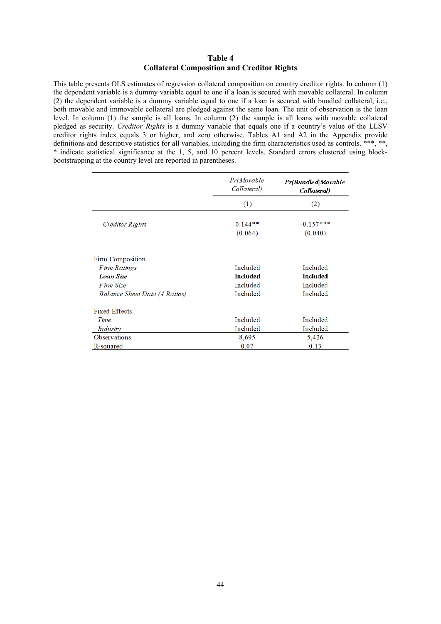## **Table 4 Collateral Composition and Creditor Rights**

This table presents OLS estimates of regression collateral composition on country creditor rights. In column (1) the dependent variable is a dummy variable equal to one if a loan is secured with movable collateral. In column (2) the dependent variable is a dummy variable equal to one if a loan is secured with bundled collateral, i.e., both movable and immovable collateral are pledged against the same loan. The unit of observation is the loan level. In column (1) the sample is all loans. In column (2) the sample is all loans with movable collateral pledged as security. *Creditor Rights* is a dummy variable that equals one if a country's value of the LLSV creditor rights index equals 3 or higher, and zero otherwise. Tables A1 and A2 in the Appendix provide definitions and descriptive statistics for all variables, including the firm characteristics used as controls. \*\*\*, \*\*, \* indicate statistical significance at the 1, 5, and 10 percent levels. Standard errors clustered using blockbootstrapping at the country level are reported in parentheses.

|                               | Pr(Movable<br>Collateral) | <b>Pr(Bundled Movable</b><br>Collateral) |
|-------------------------------|---------------------------|------------------------------------------|
|                               | (1)                       | (2)                                      |
| Creditor Rights               | $0.144**$<br>(0.064)      | $-0.157***$<br>(0.040)                   |
| Firm Composition              |                           |                                          |
| Firm Ratings                  | Included                  | Included                                 |
| Loan Size                     | Included                  | Included                                 |
| F irm Size                    | Included                  | Included                                 |
| Balance Sheet Data (4 Ratios) | Included                  | Included                                 |
| <b>Fixed Effects</b>          |                           |                                          |
| Time                          | Included                  | Included                                 |
| Industry                      | Included                  | Included                                 |
| <b>Observations</b>           | 8,695                     | 5,426                                    |
| R-squared                     | 0.07                      | 0.13                                     |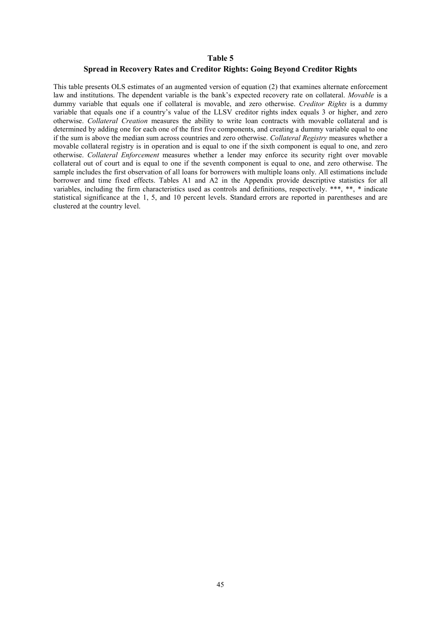#### **Table 5**

## **Spread in Recovery Rates and Creditor Rights: Going Beyond Creditor Rights**

This table presents OLS estimates of an augmented version of equation (2) that examines alternate enforcement law and institutions. The dependent variable is the bank's expected recovery rate on collateral. *Movable* is a dummy variable that equals one if collateral is movable, and zero otherwise. *Creditor Rights* is a dummy variable that equals one if a country's value of the LLSV creditor rights index equals 3 or higher, and zero otherwise. *Collateral Creation* measures the ability to write loan contracts with movable collateral and is determined by adding one for each one of the first five components, and creating a dummy variable equal to one if the sum is above the median sum across countries and zero otherwise. *Collateral Registry* measures whether a movable collateral registry is in operation and is equal to one if the sixth component is equal to one, and zero otherwise. *Collateral Enforcement* measures whether a lender may enforce its security right over movable collateral out of court and is equal to one if the seventh component is equal to one, and zero otherwise. The sample includes the first observation of all loans for borrowers with multiple loans only. All estimations include borrower and time fixed effects. Tables A1 and A2 in the Appendix provide descriptive statistics for all variables, including the firm characteristics used as controls and definitions, respectively. \*\*\*, \*\*, \* indicate statistical significance at the 1, 5, and 10 percent levels. Standard errors are reported in parentheses and are clustered at the country level.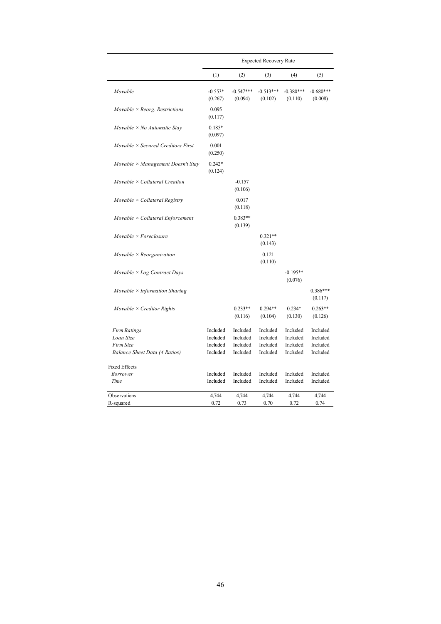|                                          |                      |                        | <b>Expected Recovery Rate</b> |                        |                        |
|------------------------------------------|----------------------|------------------------|-------------------------------|------------------------|------------------------|
|                                          | (1)                  | (2)                    | (3)                           | (4)                    | (5)                    |
| Movable                                  | $-0.553*$<br>(0.267) | $-0.547***$<br>(0.094) | $-0.513***$<br>(0.102)        | $-0.380***$<br>(0.110) | $-0.680***$<br>(0.008) |
| Movable $\times$ Reorg. Restrictions     | 0.095<br>(0.117)     |                        |                               |                        |                        |
| Movable $\times$ No Automatic Stay       | $0.185*$<br>(0.097)  |                        |                               |                        |                        |
| Movable $\times$ Secured Creditors First | 0.001<br>(0.250)     |                        |                               |                        |                        |
| Movable $\times$ Management Doesn't Stay | $0.242*$<br>(0.124)  |                        |                               |                        |                        |
| Movable $\times$ Collateral Creation     |                      | $-0.157$<br>(0.106)    |                               |                        |                        |
| Movable $\times$ Collateral Registry     |                      | 0.017<br>(0.118)       |                               |                        |                        |
| Movable $\times$ Collateral Enforcement  |                      | $0.383**$<br>(0.139)   |                               |                        |                        |
| Movable $\times$ Foreclosure             |                      |                        | $0.321**$<br>(0.143)          |                        |                        |
| Movable $\times$ Reorganization          |                      |                        | 0.121<br>(0.110)              |                        |                        |
| Movable $\times$ Log Contract Days       |                      |                        |                               | $-0.195**$<br>(0.076)  |                        |
| Movable $\times$ Information Sharing     |                      |                        |                               |                        | $0.386***$<br>(0.117)  |
| Movable $\times$ Creditor Rights         |                      | $0.233**$<br>(0.116)   | $0.294**$<br>(0.104)          | $0.234*$<br>(0.130)    | $0.263**$<br>(0.126)   |
| <b>Firm Ratings</b>                      | Included             | Included               | Included                      | Included               | Included               |
| Loan Size                                | Included             | Included               | Included                      | Included               | Included               |
| Firm Size                                | Included             | Included               | Included                      | Included               | Included               |
| Balance Sheet Data (4 Ratios)            | Included             | Included               | Included                      | Included               | Included               |
| <b>Fixed Effects</b>                     |                      |                        |                               |                        |                        |
| <b>Borrower</b>                          | Included             | Included               | Included                      | Included               | Included               |
| Time                                     | Included             | Included               | Included                      | Included               | Included               |
| Observations                             | 4,744                | 4,744                  | 4,744                         | 4,744                  | 4,744                  |
| R-squared                                | 0.72                 | 0.73                   | 0.70                          | 0.72                   | 0.74                   |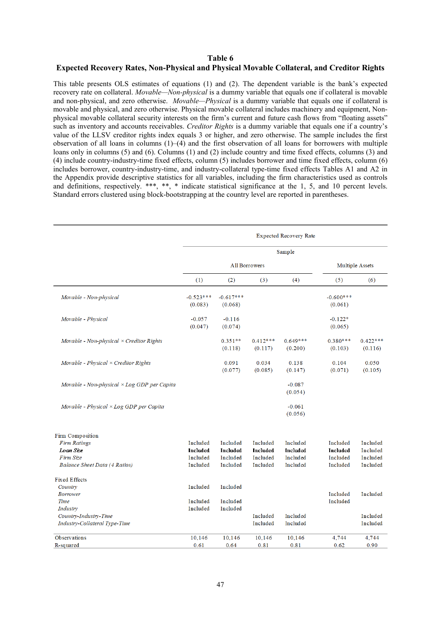#### **Table 6**

#### **Expected Recovery Rates, Non-Physical and Physical Movable Collateral, and Creditor Rights**

This table presents OLS estimates of equations (1) and (2). The dependent variable is the bank's expected recovery rate on collateral. *Movable—Non-physical* is a dummy variable that equals one if collateral is movable and non-physical, and zero otherwise. *Movable—Physical* is a dummy variable that equals one if collateral is movable and physical, and zero otherwise. Physical movable collateral includes machinery and equipment, Nonphysical movable collateral security interests on the firm's current and future cash flows from "floating assets" such as inventory and accounts receivables. *Creditor Rights* is a dummy variable that equals one if a country's value of the LLSV creditor rights index equals 3 or higher, and zero otherwise. The sample includes the first observation of all loans in columns  $(1)$ – $(4)$  and the first observation of all loans for borrowers with multiple loans only in columns (5) and (6). Columns (1) and (2) include country and time fixed effects, columns (3) and (4) include country-industry-time fixed effects, column (5) includes borrower and time fixed effects, column (6) includes borrower, country-industry-time, and industry-collateral type-time fixed effects Tables A1 and A2 in the Appendix provide descriptive statistics for all variables, including the firm characteristics used as controls and definitions, respectively. \*\*\*, \*\*, \* indicate statistical significance at the 1, 5, and 10 percent levels. Standard errors clustered using block-bootstrapping at the country level are reported in parentheses.

|                                                    |                        |                        |                       | <b>Expected Recovery Rate</b> |                        |                       |
|----------------------------------------------------|------------------------|------------------------|-----------------------|-------------------------------|------------------------|-----------------------|
|                                                    |                        |                        |                       | Sample                        |                        |                       |
|                                                    |                        |                        | <b>All Borrowers</b>  |                               | <b>Multiple Assets</b> |                       |
|                                                    | (1)                    | (2)                    | (3)                   | (4)                           | (5)                    | (6)                   |
| Movable - Non-physical                             | $-0.523***$<br>(0.083) | $-0.617***$<br>(0.068) |                       |                               | $-0.600***$<br>(0.061) |                       |
| Movable - Physical                                 | $-0.057$<br>(0.047)    | $-0.116$<br>(0.074)    |                       |                               | $-0.122*$<br>(0.065)   |                       |
| Movable - Non-physical $\times$ Creditor Rights    |                        | $0.351**$<br>(0.118)   | $0.412***$<br>(0.117) | $0.649***$<br>(0.200)         | $0.380***$<br>(0.103)  | $0.422***$<br>(0.116) |
| Movable - Physical $\times$ Creditor Rights        |                        | 0.091<br>(0.077)       | 0.034<br>(0.085)      | 0.138<br>(0.147)              | 0.104<br>(0.071)       | 0.050<br>(0.105)      |
| Movable - Non-physical $\times$ Log GDP per Capita |                        |                        |                       | $-0.087$<br>(0.054)           |                        |                       |
| Movable - Physical $\times$ Log GDP per Capita     |                        |                        |                       | $-0.061$<br>(0.056)           |                        |                       |
| Firm Composition                                   |                        |                        |                       |                               |                        |                       |
| <b>Firm Ratings</b>                                | Included               | Included               | Included              | Included                      | Included               | Included              |
| Loan Size                                          | Included               | Included               | Included              | Included                      | Included               | Included              |
| Firm Size                                          | Included               | Included               | Included              | Included                      | Included               | Included              |
| <b>Balance Sheet Data (4 Ratios)</b>               | Included               | Included               | Included              | Included                      | Included               | Included              |
| <b>Fixed Effects</b>                               |                        |                        |                       |                               |                        |                       |
| Country                                            | Included               | Included               |                       |                               |                        |                       |
| <b>Borrower</b>                                    |                        |                        |                       |                               | Included               | Included              |
| Time                                               | Included               | Included               |                       |                               | Included               |                       |
| Industry                                           | Included               | Included               |                       |                               |                        |                       |
| Country-Industry-Time                              |                        |                        | Included              | Included                      |                        | Included              |
| Industry-Collateral Type-Time                      |                        |                        | Included              | Included                      |                        | Included              |
| Observations                                       | 10,146                 | 10,146                 | 10,146                | 10,146                        | 4,744                  | 4,744                 |
| R-squared                                          | 0.61                   | 0.64                   | 0.81                  | 0.81                          | 0.62                   | 0.90                  |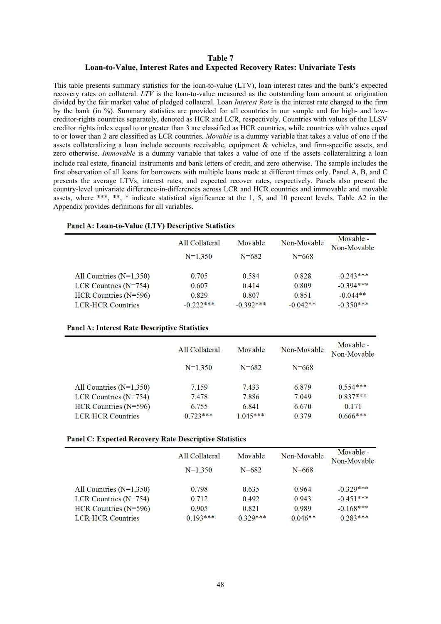## **Table 7 Loan-to-Value, Interest Rates and Expected Recovery Rates: Univariate Tests**

This table presents summary statistics for the loan-to-value (LTV), loan interest rates and the bank's expected recovery rates on collateral. *LTV* is the loan-to-value measured as the outstanding loan amount at origination divided by the fair market value of pledged collateral. Loan *Interest Rate* is the interest rate charged to the firm by the bank (in %). Summary statistics are provided for all countries in our sample and for high- and lowcreditor-rights countries separately, denoted as HCR and LCR, respectively. Countries with values of the LLSV creditor rights index equal to or greater than 3 are classified as HCR countries, while countries with values equal to or lower than 2 are classified as LCR countries. *Movable* is a dummy variable that takes a value of one if the assets collateralizing a loan include accounts receivable, equipment & vehicles, and firm-specific assets, and zero otherwise. *Immovable* is a dummy variable that takes a value of one if the assets collateralizing a loan include real estate, financial instruments and bank letters of credit, and zero otherwise. The sample includes the first observation of all loans for borrowers with multiple loans made at different times only. Panel A, B, and C presents the average LTVs, interest rates, and expected recover rates, respectively. Panels also present the country-level univariate difference-in-differences across LCR and HCR countries and immovable and movable assets, where \*\*\*, \*\*, \* indicate statistical significance at the 1, 5, and 10 percent levels. Table A2 in the Appendix provides definitions for all variables.

|  |  |  |  |  |  |  | Panel A: Loan-to-Value (LTV) Descriptive Statistics |
|--|--|--|--|--|--|--|-----------------------------------------------------|
|--|--|--|--|--|--|--|-----------------------------------------------------|

|                           | All Collateral | Movable     | Non-Movable | Movable -<br>Non-Movable |
|---------------------------|----------------|-------------|-------------|--------------------------|
|                           | $N=1.350$      | $N = 682$   | $N = 668$   |                          |
| All Countries $(N=1,350)$ | 0.705          | 0.584       | 0.828       | $-0.243***$              |
| LCR Countries $(N=754)$   | 0.607          | 0.414       | 0.809       | $-0.394***$              |
| HCR Countries $(N=596)$   | 0.829          | 0.807       | 0.851       | $-0.044**$               |
| <b>LCR-HCR Countries</b>  | $-0.222***$    | $-0.392***$ | $-0.042**$  | $-0.350***$              |

#### **Panel A: Interest Rate Descriptive Statistics**

|                           | All Collateral | Movable    | Non-Movable | Movable -<br>Non-Movable |
|---------------------------|----------------|------------|-------------|--------------------------|
|                           | $N=1.350$      | $N = 682$  | $N = 668$   |                          |
| All Countries $(N=1,350)$ | 7.159          | 7.433      | 6.879       | $0.554***$               |
| LCR Countries $(N=754)$   | 7.478          | 7.886      | 7.049       | $0.837***$               |
| HCR Countries $(N=596)$   | 6.755          | 6.841      | 6.670       | 0.171                    |
| <b>LCR-HCR Countries</b>  | $0.723***$     | $1.045***$ | 0 3 7 9     | $0.666***$               |

#### **Panel C: Expected Recovery Rate Descriptive Statistics**

|                           | All Collateral | Movable     | Non-Movable | Movable -<br>Non-Movable |
|---------------------------|----------------|-------------|-------------|--------------------------|
|                           | $N=1.350$      | $N = 682$   | $N = 668$   |                          |
| All Countries $(N=1,350)$ | 0.798          | 0.635       | 0.964       | $-0.329***$              |
| LCR Countries $(N=754)$   | 0.712          | 0.492       | 0.943       | $-0.451***$              |
| HCR Countries $(N=596)$   | 0.905          | 0.821       | 0.989       | $-0.168***$              |
| <b>LCR-HCR Countries</b>  | $-0.193***$    | $-0.329***$ | $-0.046**$  | $-0.283***$              |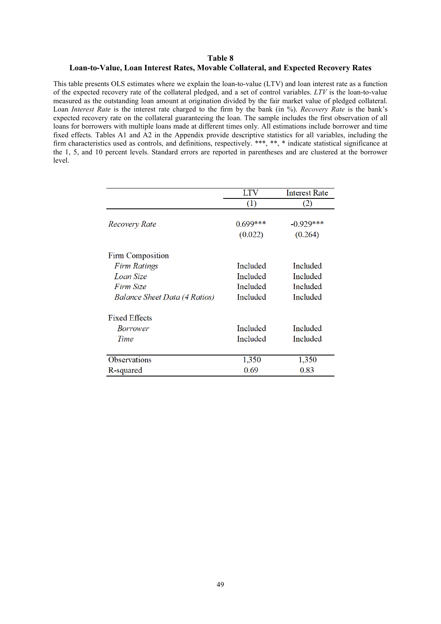#### **Table 8**

## **Loan-to-Value, Loan Interest Rates, Movable Collateral, and Expected Recovery Rates**

This table presents OLS estimates where we explain the loan-to-value (LTV) and loan interest rate as a function of the expected recovery rate of the collateral pledged, and a set of control variables. *LTV* is the loan-to-value measured as the outstanding loan amount at origination divided by the fair market value of pledged collateral. Loan *Interest Rate* is the interest rate charged to the firm by the bank (in %). *Recovery Rate* is the bank's expected recovery rate on the collateral guaranteeing the loan. The sample includes the first observation of all loans for borrowers with multiple loans made at different times only. All estimations include borrower and time fixed effects. Tables A1 and A2 in the Appendix provide descriptive statistics for all variables, including the firm characteristics used as controls, and definitions, respectively. \*\*\*, \*\*, \* indicate statistical significance at the 1, 5, and 10 percent levels. Standard errors are reported in parentheses and are clustered at the borrower level.

|                               | <b>LTV</b> | <b>Interest Rate</b> |
|-------------------------------|------------|----------------------|
|                               | (1)        | (2)                  |
|                               |            |                      |
| Recovery Rate                 | $0.699***$ | $-0.929***$          |
|                               | (0.022)    | (0.264)              |
| <b>Firm Composition</b>       |            |                      |
| Firm Ratings                  | Included   | Included             |
| Loan Size                     | Included   | Included             |
| Firm Size                     | Included   | Included             |
| Balance Sheet Data (4 Ratios) | Included   | Included             |
| <b>Fixed Effects</b>          |            |                      |
| <i>Borrower</i>               | Included   | Included             |
| Time                          | Included   | Included             |
| <b>Observations</b>           | 1,350      | 1,350                |
| R-squared                     | 0.69       | 0.83                 |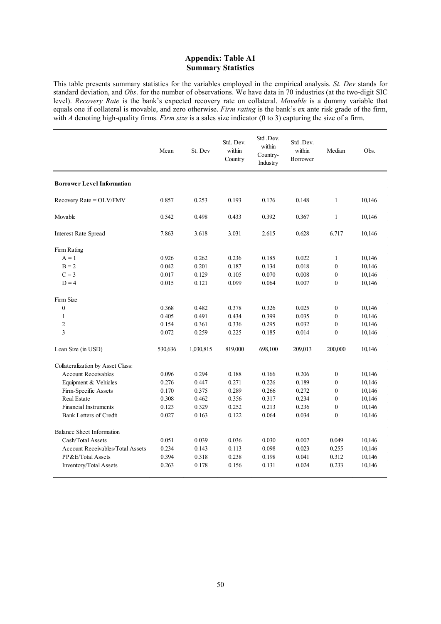## **Appendix: Table A1 Summary Statistics**

This table presents summary statistics for the variables employed in the empirical analysis. *St. Dev* stands for standard deviation, and *Obs*. for the number of observations. We have data in 70 industries (at the two-digit SIC level). *Recovery Rate* is the bank's expected recovery rate on collateral. *Movable* is a dummy variable that equals one if collateral is movable, and zero otherwise. *Firm rating* is the bank's ex ante risk grade of the firm, with *A* denoting high-quality firms. *Firm size* is a sales size indicator (0 to 3) capturing the size of a firm.

|                                         | Mean    | St. Dev   | Std. Dev.<br>within<br>Country | Std.Dev.<br>within<br>Country-<br>Industry | Std.Dev.<br>within<br>Borrower | Median           | Obs.   |
|-----------------------------------------|---------|-----------|--------------------------------|--------------------------------------------|--------------------------------|------------------|--------|
| <b>Borrower Level Information</b>       |         |           |                                |                                            |                                |                  |        |
| Recovery Rate = OLV/FMV                 | 0.857   | 0.253     | 0.193                          | 0.176                                      | 0.148                          | $\mathbf{1}$     | 10,146 |
| Movable                                 | 0.542   | 0.498     | 0.433                          | 0.392                                      | 0.367                          | $\mathbf{1}$     | 10,146 |
| <b>Interest Rate Spread</b>             | 7.863   | 3.618     | 3.031                          | 2.615                                      | 0.628                          | 6.717            | 10,146 |
| Firm Rating                             |         |           |                                |                                            |                                |                  |        |
| $A = 1$                                 | 0.926   | 0.262     | 0.236                          | 0.185                                      | 0.022                          | $\mathbf{1}$     | 10,146 |
| $B = 2$                                 | 0.042   | 0.201     | 0.187                          | 0.134                                      | 0.018                          | $\boldsymbol{0}$ | 10,146 |
| $C = 3$                                 | 0.017   | 0.129     | 0.105                          | 0.070                                      | 0.008                          | $\boldsymbol{0}$ | 10,146 |
| $D = 4$                                 | 0.015   | 0.121     | 0.099                          | 0.064                                      | 0.007                          | $\mathbf{0}$     | 10,146 |
| Firm Size                               |         |           |                                |                                            |                                |                  |        |
| $\boldsymbol{0}$                        | 0.368   | 0.482     | 0.378                          | 0.326                                      | 0.025                          | $\boldsymbol{0}$ | 10,146 |
| $\mathbf{1}$                            | 0.405   | 0.491     | 0.434                          | 0.399                                      | 0.035                          | $\mathbf{0}$     | 10,146 |
| $\mathfrak{2}$                          | 0.154   | 0.361     | 0.336                          | 0.295                                      | 0.032                          | $\boldsymbol{0}$ | 10,146 |
| $\overline{\mathbf{3}}$                 | 0.072   | 0.259     | 0.225                          | 0.185                                      | 0.014                          | $\boldsymbol{0}$ | 10,146 |
| Loan Size (in USD)                      | 530,636 | 1,030,815 | 819,000                        | 698,100                                    | 209,013                        | 200,000          | 10,146 |
| Collateralization by Asset Class:       |         |           |                                |                                            |                                |                  |        |
| <b>Account Receivables</b>              | 0.096   | 0.294     | 0.188                          | 0.166                                      | 0.206                          | $\boldsymbol{0}$ | 10,146 |
| Equipment & Vehicles                    | 0.276   | 0.447     | 0.271                          | 0.226                                      | 0.189                          | $\mathbf{0}$     | 10,146 |
| Firm-Specific Assets                    | 0.170   | 0.375     | 0.289                          | 0.266                                      | 0.272                          | $\mathbf{0}$     | 10,146 |
| <b>Real Estate</b>                      | 0.308   | 0.462     | 0.356                          | 0.317                                      | 0.234                          | $\mathbf{0}$     | 10,146 |
| <b>Financial Instruments</b>            | 0.123   | 0.329     | 0.252                          | 0.213                                      | 0.236                          | $\boldsymbol{0}$ | 10,146 |
| Bank Letters of Credit                  | 0.027   | 0.163     | 0.122                          | 0.064                                      | 0.034                          | $\mathbf{0}$     | 10,146 |
| Balance Sheet Information               |         |           |                                |                                            |                                |                  |        |
| Cash/Total Assets                       | 0.051   | 0.039     | 0.036                          | 0.030                                      | 0.007                          | 0.049            | 10,146 |
| <b>Account Receivables/Total Assets</b> | 0.234   | 0.143     | 0.113                          | 0.098                                      | 0.023                          | 0.255            | 10,146 |
| PP&E/Total Assets                       | 0.394   | 0.318     | 0.238                          | 0.198                                      | 0.041                          | 0.312            | 10,146 |
| Inventory/Total Assets                  | 0.263   | 0.178     | 0.156                          | 0.131                                      | 0.024                          | 0.233            | 10,146 |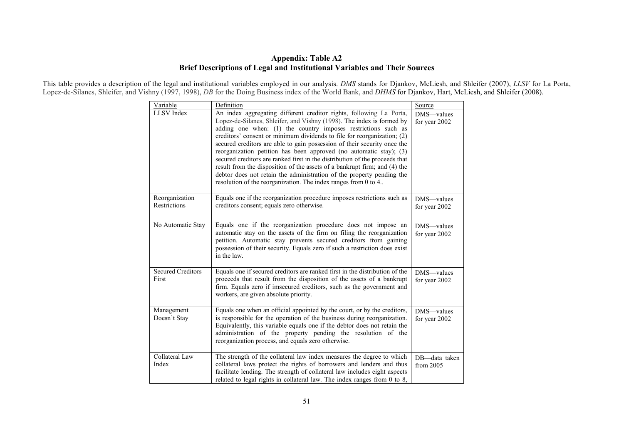# **Appendix: Table A2 Brief Descriptions of Legal and Institutional Variables and Their Sources**

This table provides a description of the legal and institutional variables employed in our analysis. *DMS* stands for Djankov, McLiesh, and Shleifer (2007), *LLSV* for La Porta, Lopez-de-Silanes, Shleifer, and Vishny (1997, 1998), *DB* for the Doing Business index of the World Bank, and *DHMS* for Djankov, Hart, McLiesh, and Shleifer (2008).

| Variable                          | Definition                                                                                                                                                                                                                                                                                                                                                                                                                                                                                                                                                                                                                                                                                                                                        | Source                       |
|-----------------------------------|---------------------------------------------------------------------------------------------------------------------------------------------------------------------------------------------------------------------------------------------------------------------------------------------------------------------------------------------------------------------------------------------------------------------------------------------------------------------------------------------------------------------------------------------------------------------------------------------------------------------------------------------------------------------------------------------------------------------------------------------------|------------------------------|
| LLSV Index                        | An index aggregating different creditor rights, following La Porta,<br>Lopez-de-Silanes, Shleifer, and Vishny (1998). The index is formed by<br>adding one when: (1) the country imposes restrictions such as<br>creditors' consent or minimum dividends to file for reorganization; (2)<br>secured creditors are able to gain possession of their security once the<br>reorganization petition has been approved (no automatic stay); (3)<br>secured creditors are ranked first in the distribution of the proceeds that<br>result from the disposition of the assets of a bankrupt firm; and (4) the<br>debtor does not retain the administration of the property pending the<br>resolution of the reorganization. The index ranges from 0 to 4 | DMS-values<br>for year 2002  |
| Reorganization<br>Restrictions    | Equals one if the reorganization procedure imposes restrictions such as<br>creditors consent; equals zero otherwise.                                                                                                                                                                                                                                                                                                                                                                                                                                                                                                                                                                                                                              | DMS-values<br>for year 2002  |
| No Automatic Stay                 | Equals one if the reorganization procedure does not impose an<br>automatic stay on the assets of the firm on filing the reorganization<br>petition. Automatic stay prevents secured creditors from gaining<br>possession of their security. Equals zero if such a restriction does exist<br>in the law.                                                                                                                                                                                                                                                                                                                                                                                                                                           | DMS-values<br>for year 2002  |
| <b>Secured Creditors</b><br>First | Equals one if secured creditors are ranked first in the distribution of the<br>proceeds that result from the disposition of the assets of a bankrupt<br>firm. Equals zero if imsecured creditors, such as the government and<br>workers, are given absolute priority.                                                                                                                                                                                                                                                                                                                                                                                                                                                                             | DMS-values<br>for year 2002  |
| Management<br>Doesn't Stay        | Equals one when an official appointed by the court, or by the creditors,<br>is responsible for the operation of the business during reorganization.<br>Equivalently, this variable equals one if the debtor does not retain the<br>administration of the property pending the resolution of the<br>reorganization process, and equals zero otherwise.                                                                                                                                                                                                                                                                                                                                                                                             | DMS-values<br>for year 2002  |
| Collateral Law<br>Index           | The strength of the collateral law index measures the degree to which<br>collateral laws protect the rights of borrowers and lenders and thus<br>facilitate lending. The strength of collateral law includes eight aspects<br>related to legal rights in collateral law. The index ranges from 0 to 8,                                                                                                                                                                                                                                                                                                                                                                                                                                            | DB-data taken<br>from $2005$ |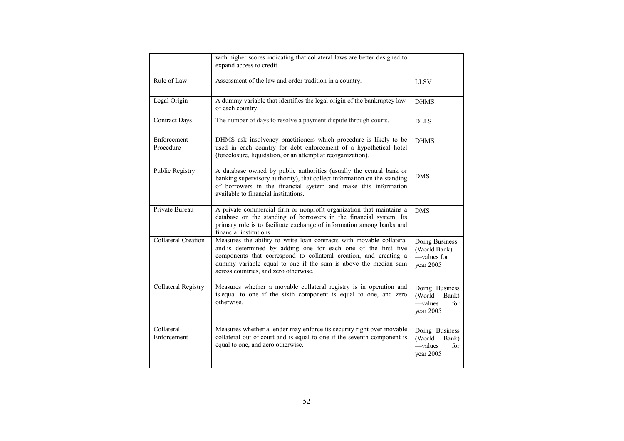|                           | with higher scores indicating that collateral laws are better designed to<br>expand access to credit.                                                                                                                                                                                                                  |                                                                   |
|---------------------------|------------------------------------------------------------------------------------------------------------------------------------------------------------------------------------------------------------------------------------------------------------------------------------------------------------------------|-------------------------------------------------------------------|
| Rule of Law               | Assessment of the law and order tradition in a country.                                                                                                                                                                                                                                                                | <b>LLSV</b>                                                       |
| Legal Origin              | A dummy variable that identifies the legal origin of the bankruptcy law<br>of each country.                                                                                                                                                                                                                            | <b>DHMS</b>                                                       |
| <b>Contract Days</b>      | The number of days to resolve a payment dispute through courts.                                                                                                                                                                                                                                                        | <b>DLLS</b>                                                       |
| Enforcement<br>Procedure  | DHMS ask insolvency practitioners which procedure is likely to be<br>used in each country for debt enforcement of a hypothetical hotel<br>(foreclosure, liquidation, or an attempt at reorganization).                                                                                                                 | <b>DHMS</b>                                                       |
| Public Registry           | A database owned by public authorities (usually the central bank or<br>banking supervisory authority), that collect information on the standing<br>of borrowers in the financial system and make this information<br>available to financial institutions.                                                              | <b>DMS</b>                                                        |
| Private Bureau            | A private commercial firm or nonprofit organization that maintains a<br>database on the standing of borrowers in the financial system. Its<br>primary role is to facilitate exchange of information among banks and<br>financial institutions.                                                                         | <b>DMS</b>                                                        |
| Collateral Creation       | Measures the ability to write loan contracts with movable collateral<br>and is determined by adding one for each one of the first five<br>components that correspond to collateral creation, and creating a<br>dummy variable equal to one if the sum is above the median sum<br>across countries, and zero otherwise. | Doing Business<br>(World Bank)<br>—values for<br>year 2005        |
| Collateral Registry       | Measures whether a movable collateral registry is in operation and<br>is equal to one if the sixth component is equal to one, and zero<br>otherwise.                                                                                                                                                                   | Doing Business<br>(World)<br>Bank)<br>—values<br>for<br>year 2005 |
| Collateral<br>Enforcement | Measures whether a lender may enforce its security right over movable<br>collateral out of court and is equal to one if the seventh component is<br>equal to one, and zero otherwise.                                                                                                                                  | Doing Business<br>(World<br>Bank)<br>—values<br>for<br>year 2005  |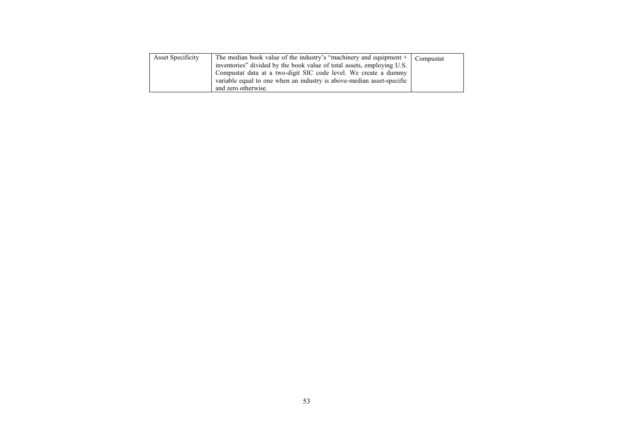| <b>Asset Specificity</b> | The median book value of the industry's "machinery and equipment $+$<br>inventories" divided by the book value of total assets, employing U.S.<br>Compustat data at a two-digit SIC code level. We create a dummy<br>variable equal to one when an industry is above-median asset-specific<br>and zero otherwise. | Compustat |
|--------------------------|-------------------------------------------------------------------------------------------------------------------------------------------------------------------------------------------------------------------------------------------------------------------------------------------------------------------|-----------|
|--------------------------|-------------------------------------------------------------------------------------------------------------------------------------------------------------------------------------------------------------------------------------------------------------------------------------------------------------------|-----------|